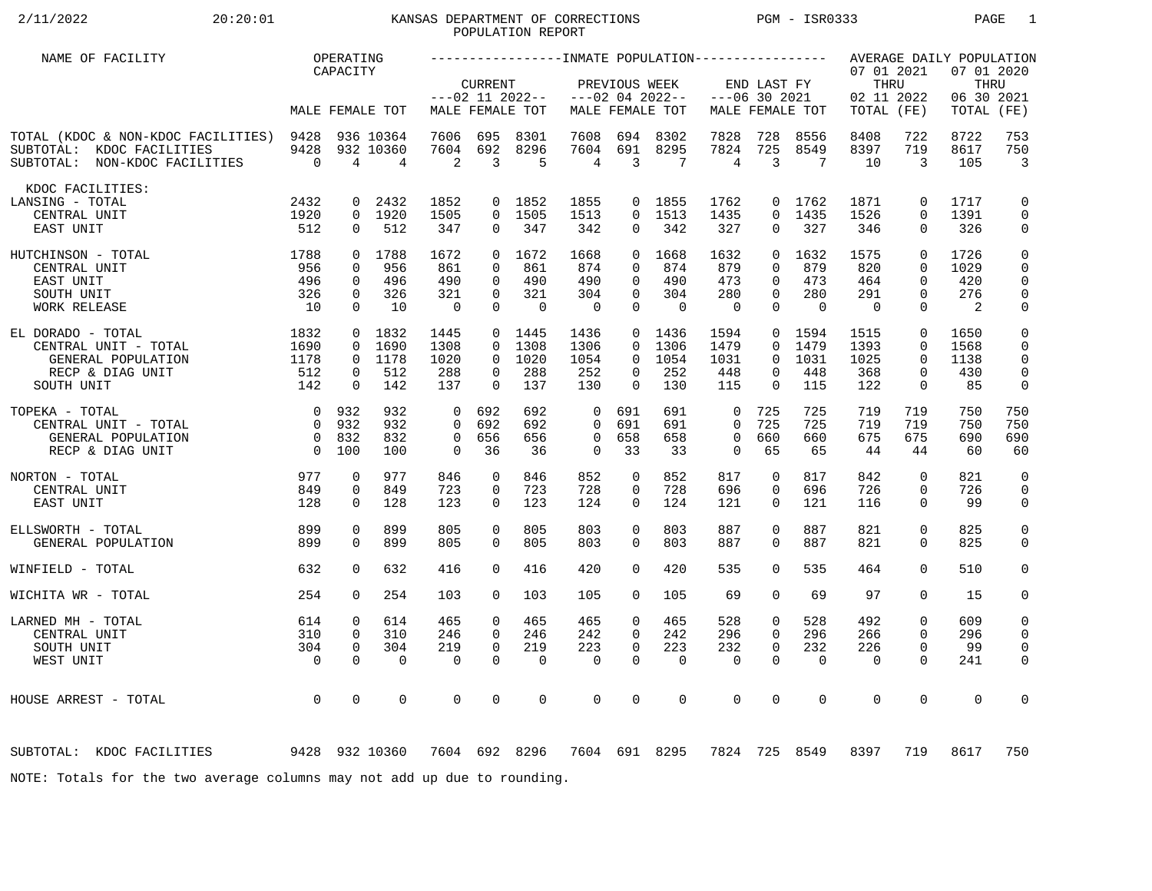# 2/11/2022 20:20:01 KANSAS DEPARTMENT OF CORRECTIONS PGM - ISR0333 PAGE 1 POPULATION REPORT

| NAME OF FACILITY                                                                                                                                                                                                                                                                                                                                           |                        | OPERATING                     |                                          |                         |                                |                                      |                         |                              |                                      |                         |                      |                    |                                                |                         | AVERAGE DAILY POPULATION          |                              |
|------------------------------------------------------------------------------------------------------------------------------------------------------------------------------------------------------------------------------------------------------------------------------------------------------------------------------------------------------------|------------------------|-------------------------------|------------------------------------------|-------------------------|--------------------------------|--------------------------------------|-------------------------|------------------------------|--------------------------------------|-------------------------|----------------------|--------------------|------------------------------------------------|-------------------------|-----------------------------------|------------------------------|
|                                                                                                                                                                                                                                                                                                                                                            |                        | CAPACITY                      | MALE FEMALE TOT                          |                         | <b>CURRENT</b>                 | $---02$ 11 2022--<br>MALE FEMALE TOT |                         | PREVIOUS WEEK                | $---02$ 04 2022--<br>MALE FEMALE TOT | $---06$ 30 2021         | END LAST FY          | MALE FEMALE TOT    | 07 01 2021<br>THRU<br>02 11 2022<br>TOTAL (FE) |                         | 07 01 2020<br>06 30 2021<br>TOTAL | THRU<br>(FE)                 |
|                                                                                                                                                                                                                                                                                                                                                            |                        |                               |                                          |                         |                                |                                      |                         |                              |                                      |                         |                      |                    |                                                |                         |                                   |                              |
| TOTAL (KDOC & NON-KDOC FACILITIES) 9428<br>SUBTOTAL: KDOC FACILITIES<br>SUBTOTAL: NON-KDOC FACILITIES                                                                                                                                                                                                                                                      | 9428<br>$\overline{0}$ | $\overline{4}$                | 936 10364<br>932 10360<br>$\overline{4}$ | 7606<br>7604<br>2       | 695<br>692<br>$\overline{3}$   | 8301<br>8296<br>5                    | 7608<br>7604<br>4       | 694<br>691<br>$\overline{3}$ | 8302<br>8295<br>7                    | 7828<br>7824<br>4       | 728<br>725<br>3      | 8556<br>8549<br>-7 | 8408<br>8397<br>10                             | 722<br>719<br>3         | 8722<br>8617<br>105               | 753<br>750<br>$\overline{3}$ |
| KDOC FACILITIES:                                                                                                                                                                                                                                                                                                                                           |                        |                               |                                          |                         |                                |                                      |                         |                              |                                      |                         |                      |                    |                                                |                         |                                   |                              |
| LANSING - TOTAL<br>CENTRAL UNIT                                                                                                                                                                                                                                                                                                                            | 2432<br>1920           | $\mathbf{0}$                  | 2432<br>0 1920                           | 1852<br>1505            |                                | 0 1852<br>0 1505                     | 1855<br>1513            |                              | $0$ 1855<br>$0$ 1513                 | 1762<br>1435            | $\Omega$             | 0 1762<br>1435     | 1871<br>1526                                   | $\mathbf 0$<br>$\Omega$ | 1717<br>1391                      | $\mathbf 0$<br>$\mathsf{O}$  |
| EAST UNIT                                                                                                                                                                                                                                                                                                                                                  | 512                    | $\Omega$                      | 512                                      | 347                     | $\Omega$                       | 347                                  | 342                     | 0                            | 342                                  | 327                     | $\Omega$             | 327                | 346                                            | $\Omega$                | 326                               | 0                            |
| 1788<br>HUTCHINSON - TOTAL                                                                                                                                                                                                                                                                                                                                 |                        |                               | 0 1788                                   | 1672                    |                                | 0 1672                               | 1668                    | $\Omega$                     | 1668                                 | 1632                    | $\Omega$             | 1632               | 1575                                           | $\Omega$                | 1726                              | $\mathbf 0$                  |
| CENTRAL UNIT<br>EAST UNIT                                                                                                                                                                                                                                                                                                                                  | 956<br>496             | $\mathbf 0$<br>$\mathbf{0}$   | 956<br>496                               | 861<br>490              | $\Omega$<br>$\Omega$           | 861<br>490                           | 874<br>490              | $\Omega$<br>$\Omega$         | 874<br>490                           | 879<br>473              | $\Omega$<br>$\Omega$ | 879<br>473         | 820<br>464                                     | $\Omega$<br>$\Omega$    | 1029<br>420                       | $\mathbf 0$<br>$\mathbf 0$   |
| SOUTH UNIT                                                                                                                                                                                                                                                                                                                                                 | 326                    | $\mathbf{0}$                  | 326                                      | 321                     | $\mathbf 0$                    | 321                                  | 304                     | 0                            | 304                                  | 280                     | $\Omega$             | 280                | 291                                            | $\mathbf 0$             | 276                               | $\mathbf 0$                  |
| <b>WORK RELEASE</b>                                                                                                                                                                                                                                                                                                                                        | 10                     | $\Omega$                      | 10                                       | $\overline{0}$          | $\Omega$                       | $\Omega$                             | $\overline{0}$          | $\Omega$                     | $\Omega$                             | $\mathbf 0$             | $\Omega$             | $\overline{0}$     | $\overline{0}$                                 | $\Omega$                | $\overline{2}$                    | 0                            |
| $1832$<br>$1690$<br>EL DORADO - TOTAL                                                                                                                                                                                                                                                                                                                      |                        |                               | 0 1832                                   | 1445                    |                                | $0$ 1445                             | 1436                    |                              | 0 1436                               | 1594                    | $\overline{0}$       | 1594               | 1515                                           | $\mathbf 0$             | 1650                              | 0                            |
| CENTRAL UNIT - TOTAL                                                                                                                                                                                                                                                                                                                                       |                        | $\mathbf 0$                   | 1690                                     | 1308                    | $\Omega$                       | 1308                                 | 1306                    | $\Omega$                     | 1306                                 | 1479                    | $\Omega$             | 1479               | 1393                                           | $\mathbf 0$             | 1568                              | $\mathbf 0$                  |
| GENERAL POPULATION<br>RECP & DIAG UNIT                                                                                                                                                                                                                                                                                                                     | 1178<br>512            | $\overline{0}$<br>$\mathbf 0$ | 1178<br>512                              | 1020<br>288             | $\mathbf{0}$<br>$\overline{0}$ | 1020<br>288                          | 1054<br>252             | $\Omega$<br>$\mathbf 0$      | 1054<br>252                          | 1031<br>448             | $\Omega$<br>0        | 1031<br>448        | 1025<br>368                                    | $\Omega$<br>0           | 1138<br>430                       | $\mathbf 0$<br>$\mathbf 0$   |
| SOUTH UNIT                                                                                                                                                                                                                                                                                                                                                 | 142                    | $\mathbf 0$                   | 142                                      | 137                     | $\Omega$                       | 137                                  | 130                     | $\Omega$                     | 130                                  | 115                     | $\Omega$             | 115                | 122                                            | $\mathbf 0$             | 85                                | 0                            |
| TOPEKA - TOTAL                                                                                                                                                                                                                                                                                                                                             | 0 932                  |                               | 932                                      | $\Omega$                | 692                            | 692                                  | $\Omega$                | 691                          | 691                                  | 0                       | 725                  | 725                | 719                                            | 719                     | 750                               | 750                          |
| CENTRAL UNIT - TOTAL                                                                                                                                                                                                                                                                                                                                       | $\overline{0}$         | 932                           | 932                                      | $\Omega$                | 692                            | 692                                  | $\Omega$                | 691                          | 691                                  | $\Omega$                | 725                  | 725                | 719                                            | 719                     | 750                               | 750                          |
| GENERAL POPULATION                                                                                                                                                                                                                                                                                                                                         | $\overline{0}$         | 0 832<br>100                  | 832<br>100                               | $\mathbf 0$<br>$\Omega$ | 656<br>36                      | 656<br>36                            | $\mathbf 0$<br>$\Omega$ | 658<br>33                    | 658<br>33                            | $\mathbf 0$<br>$\Omega$ | 660<br>65            | 660<br>65          | 675<br>44                                      | 675<br>44               | 690<br>60                         | 690<br>60                    |
| RECP & DIAG UNIT                                                                                                                                                                                                                                                                                                                                           |                        |                               |                                          |                         |                                |                                      |                         |                              |                                      |                         |                      |                    |                                                |                         |                                   |                              |
| 977<br>NORTON - TOTAL                                                                                                                                                                                                                                                                                                                                      |                        | $\mathbf 0$                   | 977                                      | 846                     | $\mathbf 0$                    | 846                                  | 852                     | $\mathbf 0$                  | 852                                  | 817                     | 0                    | 817                | 842                                            | $\Omega$                | 821                               | $\mathbf 0$                  |
| CENTRAL UNIT                                                                                                                                                                                                                                                                                                                                               | 849                    | $\mathbf 0$                   | 849                                      | 723                     | $\Omega$<br>$\Omega$           | 723                                  | 728                     | $\Omega$<br>$\Omega$         | 728<br>124                           | 696                     | $\Omega$<br>$\Omega$ | 696                | 726<br>116                                     | $\mathbf 0$<br>$\Omega$ | 726<br>99                         | $\mathbf 0$                  |
| EAST UNIT                                                                                                                                                                                                                                                                                                                                                  | 128                    | $\Omega$                      | 128                                      | 123                     |                                | 123                                  | 124                     |                              |                                      | 121                     |                      | 121                |                                                |                         |                                   | $\mathbf 0$                  |
| ELLSWORTH - TOTAL                                                                                                                                                                                                                                                                                                                                          | 899                    | $\mathbf 0$                   | 899                                      | 805                     | $\mathbf 0$                    | 805                                  | 803                     | 0                            | 803                                  | 887                     | 0                    | 887                | 821                                            | $\mathbf 0$             | 825                               | 0                            |
| GENERAL POPULATION                                                                                                                                                                                                                                                                                                                                         | 899                    | $\mathbf 0$                   | 899                                      | 805                     | $\Omega$                       | 805                                  | 803                     | $\Omega$                     | 803                                  | 887                     | $\Omega$             | 887                | 821                                            | $\mathbf 0$             | 825                               | $\mathbf 0$                  |
| WINFIELD - TOTAL                                                                                                                                                                                                                                                                                                                                           | 632                    | $\Omega$                      | 632                                      | 416                     | $\Omega$                       | 416                                  | 420                     | 0                            | 420                                  | 535                     | 0                    | 535                | 464                                            | $\mathbf 0$             | 510                               | 0                            |
| WICHITA WR - TOTAL                                                                                                                                                                                                                                                                                                                                         | 254                    | $\Omega$                      | 254                                      | 103                     | $\Omega$                       | 103                                  | 105                     | $\Omega$                     | 105                                  | 69                      | $\Omega$             | 69                 | 97                                             | $\Omega$                | 15                                | 0                            |
| LARNED MH - TOTAL                                                                                                                                                                                                                                                                                                                                          | 614                    | 0                             | 614                                      | 465                     | $\Omega$                       | 465                                  | 465                     | $\mathbf 0$                  | 465                                  | 528                     | 0                    | 528                | 492                                            | $\mathbf 0$             | 609                               | $\mathbf 0$                  |
| CENTRAL UNIT                                                                                                                                                                                                                                                                                                                                               | 310                    | $\Omega$                      | 310                                      | 246                     | $\Omega$                       | 246                                  | 242                     | $\Omega$                     | 242                                  | 296                     | $\Omega$             | 296                | 266                                            | $\Omega$                | 296                               | $\mathbf 0$                  |
| SOUTH UNIT<br>WEST UNIT                                                                                                                                                                                                                                                                                                                                    | 304<br>$\overline{0}$  | $\mathbf 0$<br>$\Omega$       | 304<br>$\Omega$                          | 219<br>$\Omega$         | $\Omega$<br>$\Omega$           | 219<br>$\Omega$                      | 223<br>$\Omega$         | $\Omega$<br>$\Omega$         | 223<br>$\Omega$                      | 232<br>$\mathbf 0$      | $\Omega$<br>$\Omega$ | 232<br>$\Omega$    | 226<br>$\Omega$                                | $\Omega$<br>$\Omega$    | 99<br>241                         | $\mathbf 0$<br>$\mathbf 0$   |
|                                                                                                                                                                                                                                                                                                                                                            |                        |                               |                                          |                         |                                |                                      |                         |                              |                                      |                         |                      |                    |                                                |                         |                                   |                              |
| $\overline{a}$ and $\overline{a}$ and $\overline{a}$ and $\overline{a}$ and $\overline{a}$ and $\overline{a}$ and $\overline{a}$ and $\overline{a}$ and $\overline{a}$ and $\overline{a}$ and $\overline{a}$ and $\overline{a}$ and $\overline{a}$ and $\overline{a}$ and $\overline{a}$ and $\overline{a}$ and $\overline{a}$ and<br>HOUSE ARREST - TOTAL |                        | $\Omega$                      | $\Omega$                                 | $\mathbf 0$             | $\Omega$                       | $\mathbf 0$                          | $\mathbf 0$             | $\Omega$                     | $\Omega$                             | $\mathbf 0$             | $\Omega$             | $\mathbf 0$        | $\mathbf 0$                                    | $\mathbf 0$             | $\Omega$                          | $\mathbf 0$                  |
|                                                                                                                                                                                                                                                                                                                                                            |                        |                               |                                          |                         |                                |                                      |                         |                              |                                      |                         |                      |                    |                                                |                         |                                   |                              |
| 9428 932 10360<br>SUBTOTAL: KDOC FACILITIES                                                                                                                                                                                                                                                                                                                |                        |                               |                                          | 7604 692 8296           |                                |                                      |                         |                              | 7604 691 8295                        | 7824                    |                      | 725 8549           | 8397                                           | 719                     | 8617                              | 750                          |
| NOTE: Totals for the two average columns may not add up due to rounding.                                                                                                                                                                                                                                                                                   |                        |                               |                                          |                         |                                |                                      |                         |                              |                                      |                         |                      |                    |                                                |                         |                                   |                              |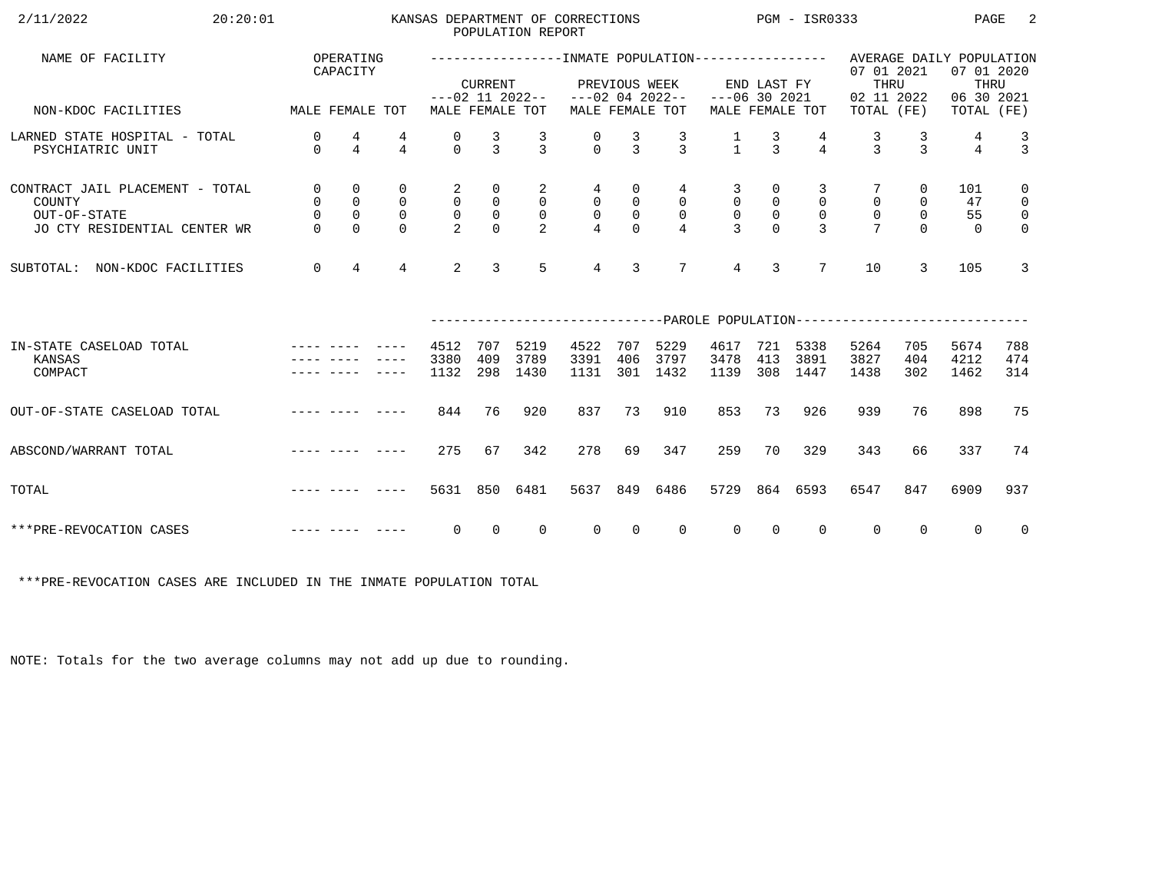| 2/11/2022<br>20:20:01                                                                     |                                              |                                              |                                                       |                                                            | POPULATION REPORT                                               | KANSAS DEPARTMENT OF CORRECTIONS      |                                    |                                               |                                                      |                                                         | PGM - ISR0333                                  |                                                 |                            | PAGE                                         | 2                                                            |                                                                          |
|-------------------------------------------------------------------------------------------|----------------------------------------------|----------------------------------------------|-------------------------------------------------------|------------------------------------------------------------|-----------------------------------------------------------------|---------------------------------------|------------------------------------|-----------------------------------------------|------------------------------------------------------|---------------------------------------------------------|------------------------------------------------|-------------------------------------------------|----------------------------|----------------------------------------------|--------------------------------------------------------------|--------------------------------------------------------------------------|
| NAME OF FACILITY                                                                          |                                              | OPERATING<br>CAPACITY                        |                                                       |                                                            | <b>CURRENT</b>                                                  | $---02$ 11 2022--                     |                                    | PREVIOUS WEEK                                 | $---02$ 04 2022--                                    | $---06$ 30 2021                                         | END LAST FY                                    |                                                 | 07 01 2021<br>THRU         |                                              | AVERAGE DAILY POPULATION<br>07 01 2020<br>THRU<br>06 30 2021 |                                                                          |
| NON-KDOC FACILITIES                                                                       | MALE FEMALE TOT                              |                                              |                                                       |                                                            |                                                                 | MALE FEMALE TOT                       |                                    |                                               | MALE FEMALE TOT                                      |                                                         |                                                | MALE FEMALE TOT                                 | 02 11 2022<br>TOTAL (FE)   |                                              | TOTAL (FE)                                                   |                                                                          |
| LARNED STATE HOSPITAL - TOTAL<br>PSYCHIATRIC UNIT                                         | $\mathbf 0$<br>$\Omega$                      | 4<br>$\overline{4}$                          | 4<br>$\overline{4}$                                   | 0<br>$\Omega$                                              | $\frac{3}{3}$                                                   | $\mathcal{R}$                         | $\Omega$                           | 3<br>$\mathcal{E}$                            | $\frac{3}{3}$                                        | $\frac{1}{1}$                                           | $\frac{3}{3}$                                  | $\overline{4}$                                  | 3<br>$\mathbf{z}$          | 3<br>$\mathbf{z}$                            | 4<br>$\overline{4}$                                          | $\frac{3}{3}$                                                            |
| CONTRACT JAIL PLACEMENT - TOTAL<br>COUNTY<br>OUT-OF-STATE<br>JO CTY RESIDENTIAL CENTER WR | $\mathsf{O}$<br>0<br>$\mathbf 0$<br>$\Omega$ | 0<br>$\mathsf{O}$<br>$\mathbf 0$<br>$\Omega$ | $\mathbf 0$<br>$\mathbf 0$<br>$\mathbf 0$<br>$\Omega$ | 2<br>$\mathsf{O}$<br>$\mathsf{O}\xspace$<br>$\overline{2}$ | $\mathsf{O}$<br>$\mathsf{O}$<br>$\mathsf{O}\xspace$<br>$\Omega$ | 2<br>$\overline{0}$<br>$\overline{0}$ | 4<br>$\overline{0}$<br>$\mathsf 0$ | 0<br>$\mathsf{O}$<br>$\mathsf{O}$<br>$\Omega$ | 4<br>$\overline{0}$<br>$\mathbf 0$<br>$\overline{4}$ | 3<br>$\mathbf 0$<br>$\mathsf{O}\xspace$<br>$\mathbf{3}$ | 0<br>$\overline{0}$<br>$\mathbb O$<br>$\Omega$ | 3<br>$\mathbf 0$<br>$\mathbf 0$<br>$\mathbf{3}$ | $\mathbf 0$<br>$\mathbf 0$ | 0<br>$\mathbf 0$<br>$\mathsf{O}$<br>$\Omega$ | 101<br>47<br>55<br>$\Omega$                                  | $\mathbf 0$<br>$\mathsf{O}$<br>$\overline{\mathbf{0}}$<br>$\overline{0}$ |
| NON-KDOC FACILITIES<br>SUBTOTAL:                                                          | $\mathbf 0$                                  | $\overline{4}$                               | $\overline{4}$                                        | $\overline{2}$                                             | $\mathbf{3}$                                                    | 5                                     | $\overline{4}$                     | 3                                             | $7\phantom{.0}$                                      | $\overline{4}$                                          | 3                                              | $7\overline{ }$                                 | 10                         | 3                                            | 105                                                          | 3                                                                        |
|                                                                                           |                                              |                                              |                                                       |                                                            |                                                                 |                                       |                                    |                                               |                                                      |                                                         |                                                |                                                 |                            |                                              |                                                              |                                                                          |
| IN-STATE CASELOAD TOTAL<br>KANSAS<br>COMPACT                                              |                                              |                                              |                                                       | 4512<br>3380<br>1132                                       | 707<br>409<br>298                                               | 5219<br>3789<br>1430                  | 4522<br>3391<br>1131               | 707<br>406<br>301                             | 5229<br>3797<br>1432                                 | 4617<br>3478<br>1139                                    | 721<br>413<br>308                              | 5338<br>3891<br>1447                            | 5264<br>3827<br>1438       | 705<br>404<br>302                            | 5674<br>4212<br>1462                                         | 788<br>474<br>314                                                        |
| OUT-OF-STATE CASELOAD TOTAL                                                               |                                              |                                              | -----                                                 | 844                                                        | 76                                                              | 920                                   | 837                                | 73                                            | 910                                                  | 853                                                     | 73                                             | 926                                             | 939                        | 76                                           | 898                                                          | 75                                                                       |
| ABSCOND/WARRANT TOTAL                                                                     |                                              |                                              |                                                       | 275                                                        | 67                                                              | 342                                   | 278                                | 69                                            | 347                                                  | 259                                                     | 70                                             | 329                                             | 343                        | 66                                           | 337                                                          | 74                                                                       |
| TOTAL                                                                                     |                                              |                                              |                                                       | 5631                                                       | 850                                                             | 6481                                  | 5637                               | 849                                           | 6486                                                 | 5729                                                    |                                                | 864 6593                                        | 6547                       | 847                                          | 6909                                                         | 937                                                                      |
| ***PRE-REVOCATION CASES                                                                   |                                              |                                              |                                                       | 0                                                          | $\Omega$                                                        | $\Omega$                              | $\Omega$                           | $\Omega$                                      | $\Omega$                                             | $\Omega$                                                | $\Omega$                                       | $\Omega$                                        | $\mathbf 0$                | $\Omega$                                     | $\Omega$                                                     | $\overline{0}$                                                           |

\*\*\*PRE-REVOCATION CASES ARE INCLUDED IN THE INMATE POPULATION TOTAL

NOTE: Totals for the two average columns may not add up due to rounding.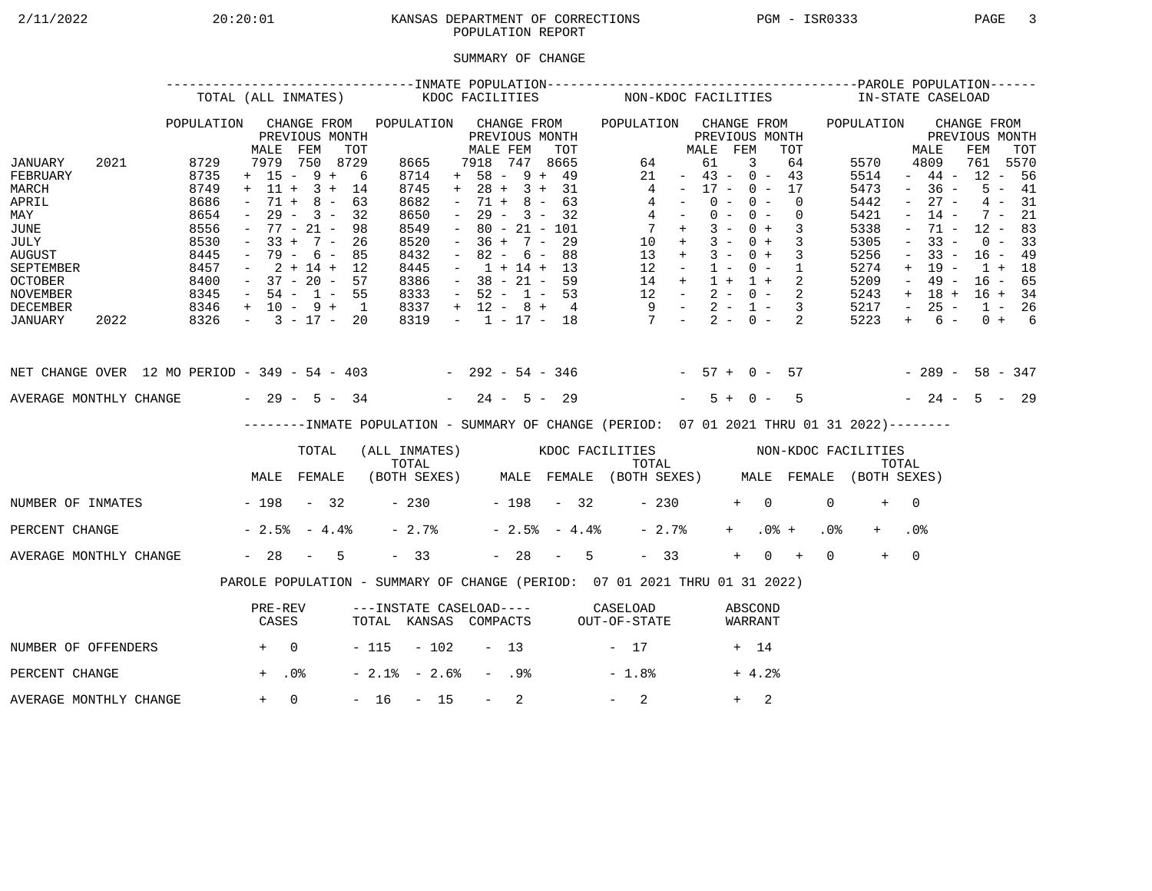# 2/11/2022 20:20:01 KANSAS DEPARTMENT OF CORRECTIONS PGM - ISR0333 PAGE 3 POPULATION REPORT

## SUMMARY OF CHANGE

|                                                                                                                                    |      | TOTAL (ALL INMATES)                                                          |                                                                                                      |                                                                  |                                                       |                                                                              | KDOC FACILITIES |                                                                                                       |                          |                                                                                              |                | NON-KDOC FACILITIES                                                                       |                                                                                                         |                      |                         |                                                                                                |                                                             |                 | IN-STATE CASELOAD                                                            |                                                                                                                                         |                                                                                               |     |                                                                      |                                                     |
|------------------------------------------------------------------------------------------------------------------------------------|------|------------------------------------------------------------------------------|------------------------------------------------------------------------------------------------------|------------------------------------------------------------------|-------------------------------------------------------|------------------------------------------------------------------------------|-----------------|-------------------------------------------------------------------------------------------------------|--------------------------|----------------------------------------------------------------------------------------------|----------------|-------------------------------------------------------------------------------------------|---------------------------------------------------------------------------------------------------------|----------------------|-------------------------|------------------------------------------------------------------------------------------------|-------------------------------------------------------------|-----------------|------------------------------------------------------------------------------|-----------------------------------------------------------------------------------------------------------------------------------------|-----------------------------------------------------------------------------------------------|-----|----------------------------------------------------------------------|-----------------------------------------------------|
| JANUARY<br>FEBRUARY                                                                                                                | 2021 | POPULATION<br>8729<br>8735                                                   | MALE<br>7979<br>$+ 15 - 9 +$                                                                         | FEM                                                              | CHANGE FROM<br>PREVIOUS MONTH<br>TOT<br>750 8729<br>6 | POPULATION<br>8665<br>8714                                                   |                 | MALE FEM<br>7918<br>$+ 58 - 9 + 49$                                                                   |                          | CHANGE FROM<br>PREVIOUS MONTH<br>747                                                         | TOT<br>8665    | POPULATION CHANGE FROM<br>64<br>21                                                        |                                                                                                         | MALE<br>61<br>$\sim$ | FEM                     | PREVIOUS MONTH<br>3<br>$43 - 0 - 43$                                                           | TOT<br>64                                                   |                 | POPULATION<br>5570<br>5514                                                   |                                                                                                                                         | MALE<br>4809<br>$-44-$                                                                        | FEM | CHANGE FROM<br>PREVIOUS MONTH<br>761<br>$12 - 56$                    | TOT<br>5570                                         |
| MARCH<br>APRIL<br>MAY<br><b>JUNE</b><br>JULY<br><b>AUGUST</b><br>SEPTEMBER<br><b>OCTOBER</b><br><b>NOVEMBER</b><br><b>DECEMBER</b> |      | 8749<br>8686<br>8654<br>8556<br>8530<br>8445<br>8457<br>8400<br>8345<br>8346 | $+$ 11 +<br>$71 +$<br>$ \,$<br>$33 +$<br>$\sim$<br>$-37 - 20 - 57$<br>$-54 - 1 - 55$<br>+ 10 - 9 + 1 | $3 +$<br>$8 -$<br>$29 - 3 -$<br>$77 - 21 -$<br>$7 -$<br>79 - 6 - | 14<br>63<br>32<br>98<br>26<br>85<br>$2 + 14 + 12$     | 8745<br>8682<br>8650<br>8549<br>8520<br>8432<br>8445<br>8386<br>8333<br>8337 |                 | $+ 28 + 3 + 31$<br>$\sim$<br>$\sim$<br>$\sim$<br>$\sim$<br>$\sim$<br>$-52 - 1 - 53$<br>$+ 12 - 8 + 4$ | 71 +<br>$36 +$<br>$82 -$ | $8 -$<br>$29 - 3 - 32$<br>$80 - 21 - 101$<br>$7 -$<br>6 –<br>$1 + 14 + 13$<br>$38 - 21 - 59$ | 63<br>29<br>88 | 13<br>12                                                                                  | 4<br>4<br>$4 -$<br>$7 +$<br>$10 +$<br>$+$<br>$\sim$ $ -$<br>14 +<br>$12 - 2 - 0 - 2$<br>$9 - 2 - 1 - 3$ | $\sim$ $-$           | $0 -$<br>$3 -$<br>$1 -$ | $17 - 0 - 17$<br>$0 -$<br>$0 - 0 -$<br>$0 +$<br>$3 - 0 +$<br>$3 - 0 +$<br>$0 - 1$<br>$1 + 1 +$ | $\Omega$<br>$\overline{0}$<br>3<br>$\overline{3}$<br>3<br>2 |                 | 5473<br>5442<br>5421<br>5338<br>5305<br>5256<br>5274<br>5209<br>5243<br>5217 | $\sim$<br>$\equiv$<br>$\overline{\phantom{a}}$<br>$\overline{\phantom{a}}$<br>$\overline{\phantom{a}}$<br>$+$<br>$ \,$<br>$+$<br>$\sim$ | $-36 -$<br>$27 -$<br>$14 -$<br>71 -<br>$33 -$<br>$33 -$<br>$19 -$<br>$49 -$<br>18 +<br>$25 -$ |     | $7 -$<br>$12 - 83$<br>$0 - 33$<br>$16 - 49$<br>$1 + 18$<br>$16 - 65$ | $5 - 41$<br>$4 - 31$<br>21<br>$16 + 34$<br>$1 - 26$ |
| JANUARY                                                                                                                            | 2022 | 8326                                                                         | $-3 - 17 - 20$                                                                                       |                                                                  |                                                       | 8319                                                                         |                 | $-1$ $-17$ $-18$                                                                                      |                          |                                                                                              |                | $7 - 2 - 0 -$                                                                             |                                                                                                         |                      |                         |                                                                                                | 2                                                           |                 | 5223                                                                         | $+$                                                                                                                                     | 6 –                                                                                           |     |                                                                      | $0 + 6$                                             |
| NET CHANGE OVER 12 MO PERIOD - 349 - 54 - 403 - 292 - 54 - 346 - 57 + 0 - 57                                                       |      |                                                                              |                                                                                                      |                                                                  |                                                       |                                                                              |                 |                                                                                                       |                          |                                                                                              |                |                                                                                           |                                                                                                         |                      |                         |                                                                                                |                                                             |                 | $-289 - 58 - 347$                                                            |                                                                                                                                         |                                                                                               |     |                                                                      |                                                     |
| AVERAGE MONTHLY CHANGE $-29 - 5 - 34$                                                                                              |      |                                                                              |                                                                                                      |                                                                  |                                                       |                                                                              |                 | $-24 - 5 - 29$                                                                                        |                          |                                                                                              |                |                                                                                           |                                                                                                         |                      | $5+$                    | $0 -$                                                                                          | 5                                                           |                 |                                                                              |                                                                                                                                         | $-24 - 5 - 29$                                                                                |     |                                                                      |                                                     |
|                                                                                                                                    |      |                                                                              |                                                                                                      |                                                                  |                                                       |                                                                              |                 |                                                                                                       |                          |                                                                                              |                | -------INMATE POPULATION - SUMMARY OF CHANGE (PERIOD: 07 01 2021 THRU 01 31 2022)-------- |                                                                                                         |                      |                         |                                                                                                |                                                             |                 |                                                                              |                                                                                                                                         |                                                                                               |     |                                                                      |                                                     |
|                                                                                                                                    |      |                                                                              |                                                                                                      | TOTAL                                                            |                                                       | TOTAL                                                                        |                 |                                                                                                       |                          |                                                                                              |                | (ALL INMATES) WOOC FACILITIES NON-KDOC FACILITIES                                         | TOTAL                                                                                                   |                      |                         |                                                                                                |                                                             |                 |                                                                              | TOTAL                                                                                                                                   |                                                                                               |     |                                                                      |                                                     |
|                                                                                                                                    |      |                                                                              | MALE FEMALE                                                                                          |                                                                  |                                                       |                                                                              |                 |                                                                                                       |                          |                                                                                              |                | (BOTH SEXES) MALE FEMALE (BOTH SEXES) MALE FEMALE (BOTH SEXES)                            |                                                                                                         |                      |                         |                                                                                                |                                                             |                 |                                                                              |                                                                                                                                         |                                                                                               |     |                                                                      |                                                     |
| NUMBER OF INMATES - 198 - 32                                                                                                       |      |                                                                              |                                                                                                      |                                                                  |                                                       | $-230$                                                                       |                 | $-198 - 32$                                                                                           |                          |                                                                                              |                |                                                                                           | $-230$                                                                                                  |                      |                         | $+$ 0                                                                                          |                                                             | $\Omega$        | $+$                                                                          | $\overline{0}$                                                                                                                          |                                                                                               |     |                                                                      |                                                     |
| PERCENT CHANGE                                                                                                                     |      |                                                                              | $-2.5% - 4.4%$                                                                                       |                                                                  |                                                       | $-2.7%$                                                                      |                 |                                                                                                       |                          | $-2.5% - 4.4%$                                                                               |                |                                                                                           | $-2.7%$                                                                                                 |                      | $+$                     |                                                                                                | $.0%$ +                                                     | .0 <sub>8</sub> |                                                                              | .0%                                                                                                                                     |                                                                                               |     |                                                                      |                                                     |
| AVERAGE MONTHLY CHANGE                                                                                                             |      |                                                                              | $-28 - 5$                                                                                            |                                                                  |                                                       | $-33$                                                                        |                 |                                                                                                       |                          | $-28 - 5$                                                                                    |                |                                                                                           | $-33$                                                                                                   |                      | $+$                     |                                                                                                | $0 +$                                                       | $\Omega$        | $+$                                                                          | $\Omega$                                                                                                                                |                                                                                               |     |                                                                      |                                                     |
|                                                                                                                                    |      |                                                                              |                                                                                                      |                                                                  |                                                       |                                                                              |                 |                                                                                                       |                          |                                                                                              |                | PAROLE POPULATION - SUMMARY OF CHANGE (PERIOD: 07 01 2021 THRU 01 31 2022)                |                                                                                                         |                      |                         |                                                                                                |                                                             |                 |                                                                              |                                                                                                                                         |                                                                                               |     |                                                                      |                                                     |
|                                                                                                                                    |      |                                                                              | PRE-REV<br>CASES                                                                                     |                                                                  |                                                       |                                                                              |                 |                                                                                                       |                          |                                                                                              |                | ---INSTATE CASELOAD---- CASELOAD<br>TOTAL KANSAS COMPACTS OUT-OF-STATE                    |                                                                                                         |                      |                         | ABSCOND<br>WARRANT                                                                             |                                                             |                 |                                                                              |                                                                                                                                         |                                                                                               |     |                                                                      |                                                     |
| NUMBER OF OFFENDERS                                                                                                                |      | $+ 0$                                                                        |                                                                                                      |                                                                  |                                                       | $-115 - 102$                                                                 |                 |                                                                                                       | $-13$                    |                                                                                              |                | $-17$                                                                                     |                                                                                                         |                      |                         | + 14                                                                                           |                                                             |                 |                                                                              |                                                                                                                                         |                                                                                               |     |                                                                      |                                                     |
| PERCENT CHANGE                                                                                                                     |      |                                                                              | $+$ .0%                                                                                              |                                                                  |                                                       | $-2.1$ % $-2.6$ %                                                            |                 |                                                                                                       | - .9%                    |                                                                                              |                | $-1.8%$                                                                                   |                                                                                                         |                      |                         | $+4.2%$                                                                                        |                                                             |                 |                                                                              |                                                                                                                                         |                                                                                               |     |                                                                      |                                                     |
| AVERAGE MONTHLY CHANGE                                                                                                             |      |                                                                              | $+$                                                                                                  | $\Omega$                                                         |                                                       | $-16$                                                                        | $-15$           |                                                                                                       | $-$                      | 2                                                                                            |                | 2                                                                                         |                                                                                                         |                      | $+$                     | 2                                                                                              |                                                             |                 |                                                                              |                                                                                                                                         |                                                                                               |     |                                                                      |                                                     |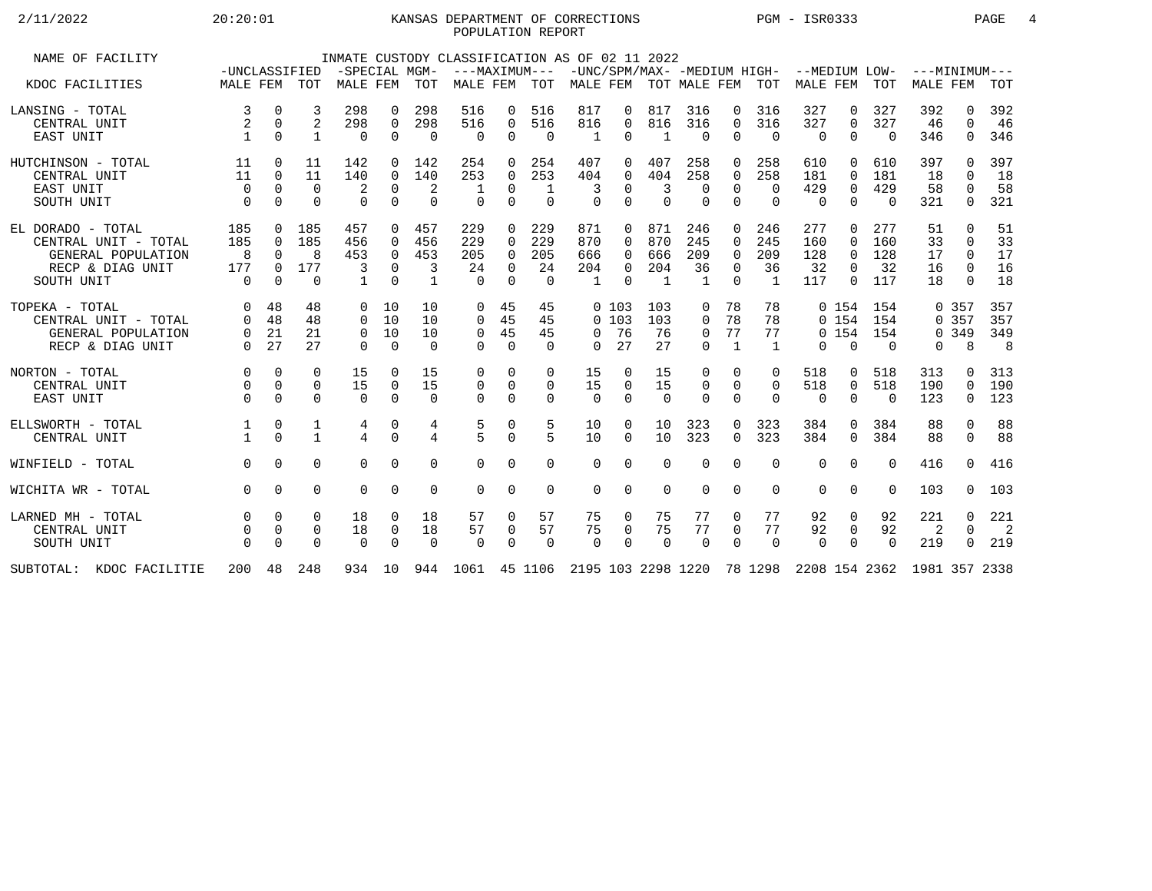## 2/11/2022 20:20:01 KANSAS DEPARTMENT OF CORRECTIONS PGM - ISR0333 PAGE 4 POPULATION REPORT

| NAME OF FACILITY          | -UNCLASSIFIED        |                      |                      | -SPECIAL MGM-     |                               |                   | INMATE CUSTODY CLASSIFICATION AS OF 02 11 2022<br>---MAXIMUM---                |                      |                    |                       |                      |                       |                         |                      |                      | -UNC/SPM/MAX- -MEDIUM HIGH- --MEDIUM LOW- |                            |                 | $---MINTMINIM---$ |                    |                |
|---------------------------|----------------------|----------------------|----------------------|-------------------|-------------------------------|-------------------|--------------------------------------------------------------------------------|----------------------|--------------------|-----------------------|----------------------|-----------------------|-------------------------|----------------------|----------------------|-------------------------------------------|----------------------------|-----------------|-------------------|--------------------|----------------|
| KDOC FACILITIES           | MALE FEM TOT         |                      |                      | MALE FEM          |                               | <b>TOT</b>        | MALE FEM                                                                       |                      | TOT                |                       |                      | MALE FEM TOT MALE FEM |                         |                      | TOT                  | MALE FEM                                  |                            | TOT             | <b>MALE FEM</b>   |                    | <b>TOT</b>     |
| LANSING - TOTAL           | 3                    | 0                    | 3                    | 298               | 0                             | 298               | 516                                                                            | 0                    | 516                | 817                   | 0                    | 817                   | 316                     | 0                    | 316                  | 327                                       | 0                          | 327             | 392               | $\Omega$           | 392            |
| CENTRAL UNIT<br>EAST UNIT | 2                    | 0<br>$\Omega$        | 2<br>1               | 298<br>0          | $\overline{0}$<br>$\mathbf 0$ | 298<br>$\Omega$   | 516<br>$\mathbf 0$                                                             | 0<br>0               | 516<br>$\mathbf 0$ | 816<br>-1             | 0<br>$\Omega$        | 816<br>$\mathbf{1}$   | 316<br>$\Omega$         | $\Omega$<br>$\Omega$ | 316<br>$\mathbf 0$   | 327<br>$\mathbf 0$                        | $\mathbf 0$<br>$\mathbf 0$ | 327<br>$\Omega$ | 46<br>346         | $\Omega$<br>0      | 46<br>346      |
| HUTCHINSON - TOTAL        | 11                   | 0                    | 11                   | 142               | $\Omega$                      | 142               | 254                                                                            | 0                    | 254                | 407                   | 0                    | 407                   | 258                     | 0                    | 258                  | 610                                       | $\Omega$                   | 610             | 397               | <sup>n</sup>       | 397            |
| CENTRAL UNIT              | 11                   | $\Omega$             | 11                   | 140               | $\Omega$                      | 140               | 253                                                                            | $\Omega$             | 253                | 404                   | $\Omega$             | 404                   | 258                     | $\Omega$             | 258                  | 181                                       | $\Omega$                   | 181             | 18                | $\Omega$           | 18             |
| EAST UNIT<br>SOUTH UNIT   | $\Omega$<br>$\Omega$ | $\Omega$<br>$\Omega$ | $\Omega$<br>$\Omega$ | 2<br>$\Omega$     | $\mathbf 0$<br>$\Omega$       | 2<br>$\Omega$     | $\Omega$                                                                       | 0<br>$\Omega$        | 1<br>$\Omega$      | 3<br>$\Omega$         | $\Omega$<br>$\Omega$ | 3<br>$\Omega$         | $\mathbf 0$<br>$\Omega$ | $\Omega$<br>$\Omega$ | $\Omega$<br>$\Omega$ | 429<br>$\Omega$                           | $\mathbf 0$<br>$\Omega$    | 429<br>$\Omega$ | 58<br>321         | $\Omega$<br>0      | 58<br>321      |
| EL DORADO - TOTAL         | 185                  | $\Omega$             | 185                  | 457               | $\Omega$                      | 457               | 229                                                                            | $\Omega$             | 229                | 871                   | $\Omega$             | 871                   | 246                     | $\Omega$             | 246                  | 277                                       | $\Omega$                   | 277             | 51                | $\Omega$           | 51             |
| CENTRAL UNIT - TOTAL      | 185                  | $\Omega$             | 185                  | 456               | $\Omega$                      | 456               | 229                                                                            | 0                    | 229                | 870                   | $\Omega$             | 870                   | 245                     | $\Omega$             | 245                  | 160                                       | 0                          | 160             | 33                | $\Omega$           | 33             |
| GENERAL POPULATION        | - 8                  | $\Omega$             | 8                    | 453               | $\mathbf 0$                   | 453               | 205                                                                            | $\Omega$             | 205                | 666                   | $\Omega$             | 666                   | 209                     | $\Omega$             | 209                  | 128                                       | $\Omega$                   | 128             | 17                | $\Omega$           | 17             |
| RECP & DIAG UNIT          | 177<br>$\Omega$      | $\Omega$<br>$\Omega$ | 177<br>$\Omega$      | 3<br>$\mathbf{1}$ | $\Omega$<br>$\cap$            | 3<br>$\mathbf{1}$ | 24<br>$\Omega$                                                                 | $\Omega$<br>$\Omega$ | 24<br>$\Omega$     | 204<br>$\overline{1}$ | $\Omega$<br>$\cap$   | 204<br>$\overline{1}$ | 36<br>$\overline{1}$    | $\Omega$<br>$\Omega$ | 36<br>$\overline{1}$ | 32<br>117                                 | $\Omega$<br>$\Omega$       | 32<br>117       | 16<br>18          | $\Omega$<br>$\cap$ | 16<br>18       |
| SOUTH UNIT                |                      |                      |                      |                   |                               |                   |                                                                                |                      |                    |                       |                      |                       |                         |                      |                      |                                           |                            |                 |                   |                    |                |
| TOPEKA - TOTAL            | $\Omega$             | 48                   | 48                   | $\Omega$          | 10                            | 10                | $\Omega$                                                                       | 45                   | 45                 |                       | 0, 103               | 103                   | 0                       | 78                   | 78                   |                                           | 0, 154                     | 154             |                   | 0 357              | 357            |
| CENTRAL UNIT - TOTAL      | $\Omega$             | 48                   | 48                   | $\Omega$          | 10                            | 10                | $\Omega$                                                                       | 45                   | 45                 |                       | 0, 103               | 103                   | $\Omega$                | 78                   | 78                   |                                           | 0, 154                     | 154             |                   | 0 357              | 357            |
| GENERAL POPULATION        | $\overline{0}$       | 21                   | 21                   | $\Omega$          | 10                            | 10                | $\mathbf 0$                                                                    | 45                   | 45                 | $\Omega$              | 76                   | 76                    | 0                       | 77                   | 77                   |                                           | 0, 154                     | 154             |                   | 0 3 4 9            | 349            |
| RECP & DIAG UNIT          | $\Omega$             | 27                   | 27                   | $\Omega$          | $\Omega$                      | $\Omega$          | $\Omega$                                                                       | $\Omega$             | $\Omega$           | $\Omega$              | 27                   | 27                    | $\Omega$                | $\mathbf{1}$         | $\mathbf{1}$         | $\Omega$                                  | $\Omega$                   | $\Omega$        | 0                 | 8                  | 8              |
| NORTON - TOTAL            | $\Omega$             | $\Omega$             | $\Omega$             | 15                | $\Omega$                      | 15                | 0                                                                              | $\Omega$             | $\Omega$           | 15                    | $\Omega$             | 15                    | $\Omega$                | $\Omega$             | $\Omega$             | 518                                       | 0                          | 518             | 313               | <sup>n</sup>       | 313            |
| CENTRAL UNIT              | $\Omega$             | $\mathbf 0$          | $\Omega$             | 15                | 0                             | 15                | $\mathbf 0$                                                                    | $\mathbf 0$          | 0                  | 15                    | $\Omega$             | 15                    | 0                       | $\Omega$             | 0                    | 518                                       | $\overline{0}$             | 518             | 190               | $\Omega$           | 190            |
| EAST UNIT                 | $\Omega$             | $\Omega$             | $\Omega$             | $\Omega$          | $\Omega$                      | $\Omega$          | $\Omega$                                                                       | $\Omega$             | $\Omega$           | $\Omega$              | $\Omega$             | $\Omega$              | $\Omega$                | $\Omega$             | $\Omega$             | $\Omega$                                  | $\Omega$                   | $\Omega$        | 123               | 0                  | 123            |
| ELLSWORTH - TOTAL         |                      | $\mathbf 0$          | 1                    | 4                 | 0                             | 4                 | 5                                                                              | $\mathbf 0$          | 5                  | 10                    | $\Omega$             | 10                    | 323                     | $\Omega$             | 323                  | 384                                       | $\Omega$                   | 384             | 88                | $\Omega$           | 88             |
| CENTRAL UNIT              |                      | $\Omega$             | $\mathbf{1}$         | 4                 | $\Omega$                      | $\overline{4}$    | $\overline{5}$                                                                 | $\mathbf 0$          | 5                  | 10                    | $\Omega$             | 10                    | 323                     | $\Omega$             | 323                  | 384                                       | $\Omega$                   | 384             | 88                | $\Omega$           | 88             |
| WINFIELD - TOTAL          | $\Omega$             | $\Omega$             | $\Omega$             | $\Omega$          | $\Omega$                      | $\Omega$          | $\Omega$                                                                       | $\Omega$             | $\Omega$           | $\Omega$              | $\Omega$             | $\Omega$              | $\Omega$                | $\Omega$             | $\Omega$             | $\mathbf 0$                               | $\mathbf 0$                | $\Omega$        | 416               | $\Omega$           | 416            |
| WICHITA WR - TOTAL        | $\Omega$             | $\Omega$             | $\Omega$             | $\Omega$          | $\Omega$                      | 0                 | $\Omega$                                                                       | $\mathbf 0$          | $\mathbf 0$        | $\Omega$              | $\Omega$             | $\Omega$              | $\Omega$                | $\Omega$             | $\Omega$             | $\mathbf 0$                               | 0                          | $\Omega$        | 103               | $\Omega$           | 103            |
| LARNED MH - TOTAL         |                      | 0                    | $\Omega$             | 18                | 0                             | 18                | 57                                                                             | 0                    | 57                 | 75                    | 0                    | 75                    | 77                      | 0                    | 77                   | 92                                        | 0                          | 92              | 221               | 0                  | 221            |
| CENTRAL UNIT              |                      | $\Omega$             | $\Omega$             | 18                | 0                             | 18                | 57                                                                             | 0                    | 57                 | 75                    | $\Omega$             | 75                    | 77                      | $\Omega$             | 77                   | 92                                        | $\mathbf 0$                | 92              | $\overline{a}$    | $\Omega$           | $\overline{2}$ |
| SOUTH UNIT                |                      | $\Omega$             | $\Omega$             | $\Omega$          | $\Omega$                      | $\Omega$          | $\Omega$                                                                       | $\Omega$             | $\Omega$           | $\Omega$              | $\Omega$             | $\Omega$              | $\Omega$                | $\Omega$             | $\Omega$             | $\Omega$                                  | $\Omega$                   | $\Omega$        | 219               | $\Omega$           | 219            |
| SUBTOTAL: KDOC FACILITIE  |                      |                      | 200 48 248           |                   |                               |                   | 934 10 944 1061 45 1106 2195 103 2298 1220 78 1298 2208 154 2362 1981 357 2338 |                      |                    |                       |                      |                       |                         |                      |                      |                                           |                            |                 |                   |                    |                |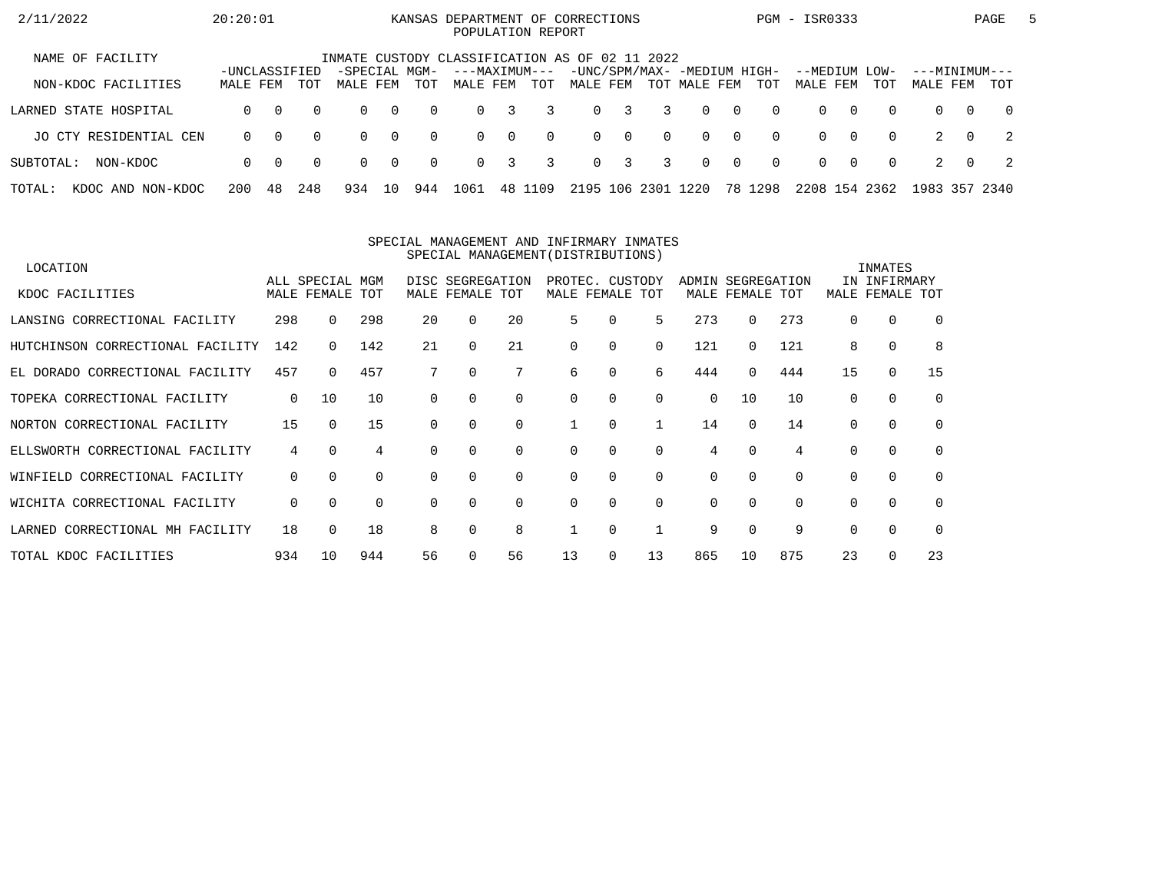| 2/11/2022                   | 20:20:01                  |          |          |                                                |                |          | KANSAS DEPARTMENT OF CORRECTIONS<br>POPULATION REPORT |          |          |          |                         |          |                                             |                |          | PGM - ISR0333             |          |          |                           |          | PAGE           | $\mathbf{b}$ |
|-----------------------------|---------------------------|----------|----------|------------------------------------------------|----------------|----------|-------------------------------------------------------|----------|----------|----------|-------------------------|----------|---------------------------------------------|----------------|----------|---------------------------|----------|----------|---------------------------|----------|----------------|--------------|
| NAME OF FACILITY            |                           |          |          | INMATE CUSTODY CLASSIFICATION AS OF 02 11 2022 |                |          |                                                       |          |          |          |                         |          |                                             |                |          |                           |          |          |                           |          |                |              |
| NON-KDOC FACILITIES         | -UNCLASSIFIED<br>MALE FEM |          | TOT      | -SPECIAL MGM-<br>MALE FEM                      |                | TOT      | ---MAXIMUM---<br>MALE FEM                             |          | TOT      | MALE FEM |                         |          | -UNC/SPM/MAX- -MEDIUM HIGH-<br>TOT MALE FEM |                | TOT      | --MEDIUM LOW-<br>MALE FEM |          | TOT      | ---MINIMUM---<br>MALE FEM |          | TOT            |              |
| LARNED STATE HOSPITAL       | $\Omega$                  | $\Omega$ | $\Omega$ | $\Omega$                                       | $\overline{0}$ | $\Omega$ | $\Omega$                                              | 3        | 3        | $\Omega$ | $\overline{\mathbf{3}}$ | 3        | $\Omega$                                    | $\overline{0}$ | $\Omega$ | $\Omega$                  | $\Omega$ | $\Omega$ | $\Omega$                  | $\Omega$ | $\overline{0}$ |              |
| JO CTY RESIDENTIAL CEN      | $\Omega$                  | $\Omega$ | $\Omega$ | $\Omega$                                       | $\overline{0}$ | $\Omega$ | $\Omega$                                              | $\Omega$ | $\Omega$ |          | $0 \quad 0$             | $\Omega$ | $\Omega$                                    | $\overline{0}$ | $\Omega$ | $\Omega$                  | $\Omega$ | $\Omega$ |                           | $\Omega$ | $\overline{2}$ |              |
| NON-KDOC<br>SUBTOTAL:       | $\Omega$                  | - 0      | $\Omega$ | $\Omega$                                       | $\overline{0}$ | $\Omega$ | $\Omega$                                              | 3        | 3        |          | $0 \quad 3$             | 3        | $\Omega$                                    | $\overline{0}$ | $\Omega$ | $\Omega$                  | $\Omega$ | $\Omega$ |                           | $\Omega$ | - 2            |              |
| TOTAL:<br>KDOC AND NON-KDOC | 200                       | 48       | 248      | 934                                            | 10             | 944      | 1061                                                  | 48 1     | 109      | 2195 106 |                         | 2301     | 1220                                        |                | 78 1298  | 2208 154 2362             |          |          | 1983 357 2340             |          |                |              |

#### SPECIAL MANAGEMENT AND INFIRMARY INMATESSPECIAL MANAGEMENT(DISTRIBUTIONS)

| LOCATION                         |             |                 |             |          |                  |             |                 |          |             |                   |             |          |          | INMATES      |             |
|----------------------------------|-------------|-----------------|-------------|----------|------------------|-------------|-----------------|----------|-------------|-------------------|-------------|----------|----------|--------------|-------------|
|                                  |             | ALL SPECIAL MGM |             |          | DISC SEGREGATION |             | PROTEC. CUSTODY |          |             | ADMIN SEGREGATION |             |          |          | IN INFIRMARY |             |
| KDOC FACILITIES                  |             | MALE FEMALE TOT |             |          | MALE FEMALE TOT  |             | MALE FEMALE     |          | TOT         |                   | MALE FEMALE | TOT      | MALE     | FEMALE       | TOT         |
| LANSING CORRECTIONAL FACILITY    | 298         | 0               | 298         | 20       | 0                | 20          | 5               | 0        | 5           | 273               | $\Omega$    | 273      |          | 0            | $\Omega$    |
| HUTCHINSON CORRECTIONAL FACILITY | 142         | 0               | 142         | 21       |                  | 21          | 0               | 0        | 0           | 121               | 0           | 121      | 8        | $\mathbf 0$  | 8           |
| EL DORADO CORRECTIONAL FACILITY  | 457         | 0               | 457         |          | 0                | 7           | 6               | 0        | 6           | 444               | 0           | 444      | 15       | 0            | 15          |
| TOPEKA CORRECTIONAL FACILITY     | $\mathbf 0$ | 10              | 10          | $\Omega$ |                  | $\Omega$    | 0               | 0        | $\Omega$    | 0                 | 10          | 10       | $\Omega$ | $\Omega$     | 0           |
| NORTON CORRECTIONAL FACILITY     | 15          | $\Omega$        | 15          |          |                  | $\Omega$    |                 | $\Omega$ |             | 14                | $\Omega$    | 14       | $\Omega$ | $\Omega$     | $\Omega$    |
| ELLSWORTH CORRECTIONAL FACILITY  | 4           | $\Omega$        | 4           | $\Omega$ |                  | $\mathbf 0$ | 0               | 0        | $\Omega$    | 4                 | $\Omega$    | 4        |          | $\mathbf 0$  | $\mathbf 0$ |
| WINFIELD CORRECTIONAL FACILITY   | 0           | 0               | $\mathbf 0$ | $\Omega$ | 0                | $\mathbf 0$ | 0               | 0        | $\mathbf 0$ | 0                 | $\Omega$    | $\Omega$ | $\Omega$ | $\mathbf 0$  | $\mathbf 0$ |
| WICHITA CORRECTIONAL FACILITY    | 0           | $\Omega$        | $\Omega$    | $\Omega$ | 0                | $\Omega$    | 0               | 0        | $\Omega$    | 0                 | $\Omega$    | $\Omega$ | $\Omega$ | $\mathbf 0$  | $\mathbf 0$ |
| LARNED CORRECTIONAL MH FACILITY  | 18          | $\Omega$        | 18          | 8        | 0                | 8           |                 | 0        |             | 9                 | $\Omega$    | 9        |          | $\mathbf 0$  | $\Omega$    |
| TOTAL KDOC FACILITIES            | 934         | 10              | 944         | 56       |                  | 56          | 13              | 0        | 13          | 865               | 10          | 875      | 23       | $\Omega$     | 23          |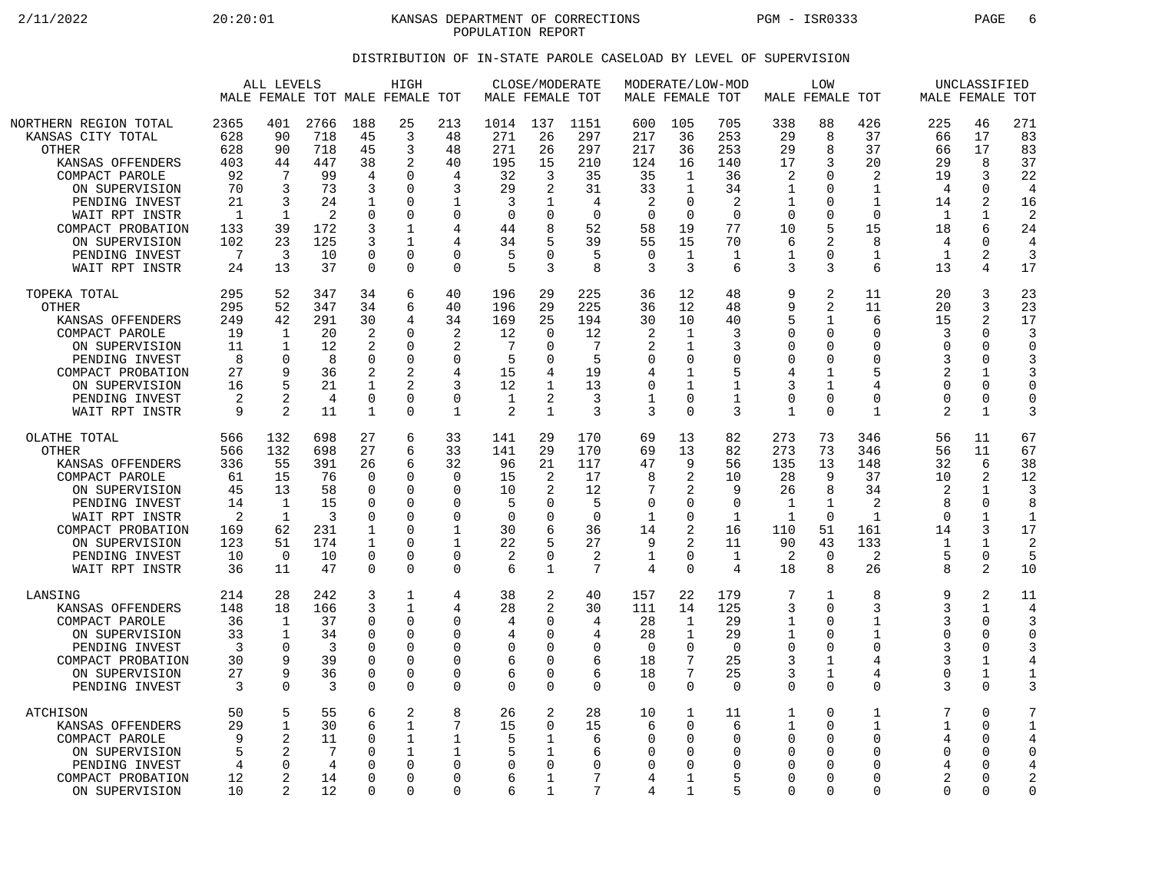2/11/2022 20:20:01 KANSAS DEPARTMENT OF CORRECTIONS PGM - ISR0333 PAGE 6 POPULATION REPORT

## DISTRIBUTION OF IN-STATE PAROLE CASELOAD BY LEVEL OF SUPERVISION

|                                                                                                                                  | ALL LEVELS<br>MALE FEMALE TOT MALE FEMALE TOT |                                                                     |                                      |                                                                    | HIGH                                                       |                                                                | MALE FEMALE TOT                             | CLOSE/MODERATE                                 |                                          | MALE FEMALE TOT                                             |                                                          | MODERATE/LOW-MOD                                         |                                                                       | <b>LOW</b><br>MALE FEMALE TOT                                                          |                                                                    |                                               | UNCLASSIFIED<br>MALE FEMALE TOT        |                                                         |
|----------------------------------------------------------------------------------------------------------------------------------|-----------------------------------------------|---------------------------------------------------------------------|--------------------------------------|--------------------------------------------------------------------|------------------------------------------------------------|----------------------------------------------------------------|---------------------------------------------|------------------------------------------------|------------------------------------------|-------------------------------------------------------------|----------------------------------------------------------|----------------------------------------------------------|-----------------------------------------------------------------------|----------------------------------------------------------------------------------------|--------------------------------------------------------------------|-----------------------------------------------|----------------------------------------|---------------------------------------------------------|
| NORTHERN REGION TOTAL                                                                                                            | 2365                                          | 401                                                                 | 2766                                 | 188                                                                | 25                                                         | 213                                                            | 1014                                        | 137                                            | 1151                                     | 600                                                         | 105                                                      | 705                                                      | 338                                                                   | 88                                                                                     | 426                                                                | 225                                           | 46                                     | 271                                                     |
| KANSAS CITY TOTAL                                                                                                                | 628                                           | 90                                                                  | 718                                  | 45                                                                 | 3                                                          | 48                                                             | 271                                         | 26                                             | 297                                      | 217                                                         | 36                                                       | 253                                                      | 29                                                                    | 8                                                                                      | 37                                                                 | 66                                            | 17                                     | 83                                                      |
| <b>OTHER</b>                                                                                                                     | 628                                           | 90                                                                  | 718                                  | 45                                                                 | 3                                                          | 48                                                             | 271                                         | 26                                             | 297                                      | 217                                                         | 36                                                       | 253                                                      | 29                                                                    | 8                                                                                      | 37                                                                 | 66                                            | 17                                     | 83                                                      |
| KANSAS OFFENDERS                                                                                                                 | 403                                           | 44                                                                  | 447                                  | 38                                                                 | 2                                                          | 40                                                             | 195                                         | 15                                             | 210                                      | 124                                                         | 16                                                       | 140                                                      | 17                                                                    | 3                                                                                      | 20                                                                 | 29                                            | 8                                      | 37                                                      |
| COMPACT PAROLE                                                                                                                   | 92                                            | 7                                                                   | 99                                   | 4                                                                  | O                                                          | 4                                                              | 32                                          | 3                                              | 35                                       | 35                                                          | 1                                                        | 36                                                       | 2                                                                     | $\Omega$                                                                               | $\overline{c}$                                                     | 19                                            | 3                                      | 22                                                      |
| ON SUPERVISION                                                                                                                   | 70                                            | 3                                                                   | 73                                   | 3                                                                  | $\Omega$                                                   | 3                                                              | 29                                          | 2                                              | 31                                       | 33                                                          | $\mathbf{1}$                                             | 34                                                       | 1                                                                     | 0                                                                                      | $\mathbf 1$                                                        | 4                                             | 0                                      | $\overline{4}$                                          |
| PENDING INVEST                                                                                                                   | 21                                            | 3                                                                   | 24                                   | 1                                                                  | 0                                                          | 1                                                              | 3                                           | 1                                              | 4                                        | 2                                                           | 0                                                        | 2                                                        | 1                                                                     | 0                                                                                      | 1                                                                  | 14                                            | 2                                      | 16                                                      |
| WAIT RPT INSTR                                                                                                                   | $\mathbf{1}$                                  | $\mathbf 1$                                                         | 2                                    | $\Omega$                                                           | 0                                                          | $\mathbf 0$                                                    | $\mathbf 0$                                 | 0                                              | $\Omega$                                 | $\mathbf 0$                                                 | $\mathbf 0$                                              | $\mathbf 0$                                              | $\Omega$                                                              | $\mathbf 0$                                                                            | $\mathbf 0$                                                        | $\mathbf 1$                                   | $\mathbf 1$                            | $\overline{2}$                                          |
| COMPACT PROBATION                                                                                                                | 133                                           | 39                                                                  | 172                                  | 3                                                                  | $\mathbf{1}$                                               | 4                                                              | 44                                          | 8                                              | 52                                       | 58                                                          | 19                                                       | 77                                                       | 10                                                                    | 5                                                                                      | 15                                                                 | 18                                            | 6                                      | 24                                                      |
| ON SUPERVISION                                                                                                                   | 102                                           | 23                                                                  | 125                                  | 3                                                                  | $\mathbf{1}$                                               | 4                                                              | 34                                          | 5                                              | 39                                       | 55                                                          | 15                                                       | 70                                                       | 6                                                                     | 2                                                                                      | 8                                                                  | 4                                             | 0                                      | 4                                                       |
| PENDING INVEST                                                                                                                   | 7                                             | 3                                                                   | 10                                   | $\Omega$                                                           | $\Omega$                                                   | $\Omega$                                                       | 5                                           | $\Omega$                                       | 5                                        | $\Omega$                                                    | $\mathbf{1}$                                             | 1                                                        | 1                                                                     | $\Omega$                                                                               | $\mathbf{1}$                                                       | 1                                             | $\overline{a}$                         | 3                                                       |
| WAIT RPT INSTR                                                                                                                   | 24                                            | 13                                                                  | 37                                   | $\mathbf 0$                                                        | $\Omega$                                                   | $\Omega$                                                       | 5                                           | 3                                              | 8                                        | 3                                                           | 3                                                        | 6                                                        | 3                                                                     | 3                                                                                      | $\sqrt{2}$                                                         | 13                                            | 4                                      | 17                                                      |
| TOPEKA TOTAL                                                                                                                     | 295                                           | 52                                                                  | 347                                  | 34                                                                 | 6                                                          | 40                                                             | 196                                         | 29                                             | 225                                      | 36                                                          | 12                                                       | 48                                                       | 9                                                                     | 2                                                                                      | 11                                                                 | 20                                            | 3                                      | 23                                                      |
| <b>OTHER</b>                                                                                                                     | 295                                           | 52                                                                  | 347                                  | 34                                                                 | 6                                                          | 40                                                             | 196                                         | 29                                             | 225                                      | 36                                                          | 12                                                       | 48                                                       | 9                                                                     | $\overline{2}$                                                                         | 11                                                                 | 20                                            | 3                                      | 23                                                      |
| KANSAS OFFENDERS                                                                                                                 | 249                                           | 42                                                                  | 291                                  | 30                                                                 | 4                                                          | 34                                                             | 169                                         | 25                                             | 194                                      | 30                                                          | 10                                                       | 40                                                       | 5                                                                     | $\mathbf 1$                                                                            | 6                                                                  | 15                                            | $\overline{a}$                         | 17                                                      |
| COMPACT PAROLE                                                                                                                   | 19                                            | 1                                                                   | 20                                   | 2                                                                  | <sup>0</sup>                                               | 2                                                              | 12                                          | $\Omega$                                       | 12                                       | 2                                                           | 1                                                        | 3                                                        | $\Omega$                                                              | $\Omega$                                                                               | $\Omega$                                                           | 3                                             | $\Omega$                               | 3                                                       |
| ON SUPERVISION                                                                                                                   | 11                                            | 1                                                                   | 12                                   | 2                                                                  | $\Omega$                                                   | 2                                                              | 7                                           | $\Omega$                                       | 7                                        | 2                                                           | $\mathbf{1}$                                             | 3                                                        | $\mathbf 0$                                                           | 0                                                                                      | $\Omega$                                                           | $\Omega$                                      | 0                                      | $\Omega$                                                |
| PENDING INVEST                                                                                                                   | 8                                             | 0                                                                   | 8                                    | $\Omega$                                                           | $\Omega$                                                   | $\Omega$                                                       | 5                                           | $\Omega$                                       | 5                                        | 0                                                           | 0                                                        | $\Omega$                                                 | 0                                                                     | 0                                                                                      | $\Omega$                                                           | 3                                             | $\Omega$                               | 3                                                       |
| COMPACT PROBATION                                                                                                                | 27                                            | 9                                                                   | 36                                   | 2                                                                  | 2                                                          | 4                                                              | 15                                          | 4                                              | 19                                       | 4                                                           | 1                                                        | 5                                                        | 4                                                                     | $\mathbf{1}$                                                                           | 5                                                                  | $\overline{2}$                                | 1                                      | 3                                                       |
| ON SUPERVISION                                                                                                                   | 16                                            | 5                                                                   | 21                                   | 1                                                                  | 2                                                          | 3                                                              | 12                                          | 1                                              | 13                                       | 0                                                           | 1                                                        | 1                                                        | 3                                                                     | 1                                                                                      | $\overline{4}$                                                     | $\Omega$                                      | O                                      | $\Omega$                                                |
| PENDING INVEST                                                                                                                   | 2                                             | 2                                                                   | 4                                    | $\mathbf 0$                                                        | $\Omega$                                                   | $\mathbf 0$                                                    | 1                                           | 2                                              | 3                                        | $\mathbf 1$                                                 | 0                                                        | 1                                                        | $\mathbf 0$                                                           | $\mathbf 0$                                                                            | $\Omega$                                                           | $\Omega$                                      | 0                                      | $\Omega$                                                |
| WAIT RPT INSTR                                                                                                                   | 9                                             | 2                                                                   | 11                                   | 1                                                                  | $\Omega$                                                   | $\mathbf{1}$                                                   | $\overline{2}$                              | 1                                              | 3                                        | 3                                                           | $\Omega$                                                 | 3                                                        | 1                                                                     | $\Omega$                                                                               | 1                                                                  | 2                                             | 1                                      | 3                                                       |
| OLATHE TOTAL                                                                                                                     | 566                                           | 132                                                                 | 698                                  | 27                                                                 | 6                                                          | 33                                                             | 141                                         | 29                                             | 170                                      | 69                                                          | 13                                                       | 82                                                       | 273                                                                   | 73                                                                                     | 346                                                                | 56                                            | 11                                     | 67                                                      |
| <b>OTHER</b>                                                                                                                     | 566                                           | 132                                                                 | 698                                  | 27                                                                 | 6                                                          | 33                                                             | 141                                         | 29                                             | 170                                      | 69                                                          | 13                                                       | 82                                                       | 273                                                                   | 73                                                                                     | 346                                                                | 56                                            | 11                                     | 67                                                      |
| KANSAS OFFENDERS                                                                                                                 | 336                                           | 55                                                                  | 391                                  | 26                                                                 | 6                                                          | 32                                                             | 96                                          | 21                                             | 117                                      | 47                                                          | 9                                                        | 56                                                       | 135                                                                   | 13                                                                                     | 148                                                                | 32                                            | 6                                      | 38                                                      |
| COMPACT PAROLE                                                                                                                   | 61                                            | 15                                                                  | 76                                   | $\Omega$                                                           | $\Omega$                                                   | $\mathbf 0$                                                    | 15                                          | 2                                              | 17                                       | 8                                                           | 2                                                        | 10                                                       | 28                                                                    | 9                                                                                      | 37                                                                 | 10                                            | 2                                      | 12                                                      |
| ON SUPERVISION                                                                                                                   | 45                                            | 13                                                                  | 58                                   | 0                                                                  | 0                                                          | $\Omega$                                                       | 10                                          | 2                                              | 12                                       | 7                                                           | 2                                                        | 9                                                        | 26                                                                    | 8                                                                                      | 34                                                                 | 2                                             | 1                                      | 3                                                       |
| PENDING INVEST                                                                                                                   | 14                                            | $\mathbf{1}$                                                        | 15                                   | $\Omega$                                                           | $\Omega$                                                   | $\Omega$                                                       | 5                                           | 0                                              | 5                                        | $\mathbf 0$                                                 | 0                                                        | $\mathbf 0$                                              | 1                                                                     | $\mathbf 1$                                                                            | 2                                                                  | 8                                             | 0                                      | 8                                                       |
| WAIT RPT INSTR                                                                                                                   | 2                                             | 1                                                                   | 3                                    | $\Omega$                                                           | $\Omega$                                                   | $\Omega$                                                       | $\Omega$                                    | O                                              | $\Omega$                                 | 1                                                           | 0                                                        | 1                                                        | 1                                                                     | $\Omega$                                                                               | 1                                                                  | $\Omega$                                      | 1                                      | $\mathbf 1$                                             |
| COMPACT PROBATION                                                                                                                | 169                                           | 62                                                                  | 231                                  | 1                                                                  | 0                                                          | $\mathbf 1$                                                    | 30                                          | 6                                              | 36                                       | 14                                                          | 2                                                        | 16                                                       | 110                                                                   | 51                                                                                     | 161                                                                | 14                                            | 3                                      | 17                                                      |
| ON SUPERVISION                                                                                                                   | 123                                           | 51                                                                  | 174                                  | 1                                                                  | $\Omega$                                                   | 1                                                              | 22                                          | 5                                              | 27                                       | 9                                                           | 2                                                        | 11                                                       | 90                                                                    | 43                                                                                     | 133                                                                | 1                                             | $\mathbf{1}$                           | 2                                                       |
| PENDING INVEST                                                                                                                   | 10                                            | $\Omega$                                                            | 10                                   | $\Omega$                                                           | $\Omega$                                                   | $\mathbf 0$                                                    | 2                                           | $\mathbf 0$                                    | 2                                        | 1                                                           | 0                                                        | $\mathbf 1$                                              | 2                                                                     | $\mathbf 0$                                                                            | 2                                                                  | 5                                             | 0                                      | 5                                                       |
| WAIT RPT INSTR                                                                                                                   | 36                                            | 11                                                                  | 47                                   | $\mathbf 0$                                                        | $\Omega$                                                   | $\Omega$                                                       | 6                                           | $\mathbf{1}$                                   | 7                                        | 4                                                           | $\Omega$                                                 | 4                                                        | 18                                                                    | 8                                                                                      | 26                                                                 | 8                                             | 2                                      | 10                                                      |
| LANSING                                                                                                                          | 214                                           | 28                                                                  | 242                                  | 3                                                                  | 1                                                          | 4                                                              | 38                                          | 2                                              | 40                                       | 157                                                         | 22                                                       | 179                                                      | 7                                                                     | 1                                                                                      | 8                                                                  | 9                                             | 2                                      | 11                                                      |
| KANSAS OFFENDERS                                                                                                                 | 148                                           | 18                                                                  | 166                                  | 3                                                                  | $\mathbf{1}$                                               | 4                                                              | 28                                          | $\overline{2}$                                 | 30                                       | 111                                                         | 14                                                       | 125                                                      | 3                                                                     | $\mathbf 0$                                                                            | 3                                                                  | 3                                             | $\mathbf{1}$                           | 4                                                       |
| COMPACT PAROLE                                                                                                                   | 36                                            | 1                                                                   | 37                                   | $\Omega$                                                           | $\Omega$                                                   | 0                                                              | 4                                           | 0                                              | 4                                        | 28                                                          | $\mathbf{1}$                                             | 29                                                       | 1                                                                     | $\Omega$                                                                               | 1                                                                  | 3                                             | $\Omega$                               | 3                                                       |
| ON SUPERVISION                                                                                                                   | 33                                            | $\mathbf 1$                                                         | 34                                   | $\Omega$                                                           | 0                                                          | $\Omega$                                                       | 4                                           | $\Omega$                                       | 4                                        | 28                                                          | $\mathbf{1}$                                             | 29                                                       | 1                                                                     | $\Omega$                                                                               | 1                                                                  | $\Omega$                                      | 0                                      | $\Omega$                                                |
| PENDING INVEST                                                                                                                   | 3                                             | $\Omega$                                                            | 3                                    | $\Omega$                                                           | $\Omega$                                                   | $\Omega$                                                       | $\Omega$                                    | $\Omega$                                       | $\Omega$                                 | $\overline{0}$                                              | $\Omega$                                                 | $\Omega$                                                 | $\Omega$                                                              | $\Omega$                                                                               | $\Omega$                                                           | 3                                             | O                                      | 3                                                       |
| COMPACT PROBATION                                                                                                                | 30                                            | 9                                                                   | 39                                   | $\Omega$                                                           | $\Omega$                                                   | $\mathbf 0$                                                    | 6                                           | $\Omega$                                       | 6                                        | 18                                                          | 7                                                        | 25                                                       | 3                                                                     | $\mathbf 1$                                                                            | $\overline{4}$                                                     | 3                                             | 1                                      | 4                                                       |
| ON SUPERVISION                                                                                                                   | 27                                            | 9                                                                   | 36                                   | $\Omega$                                                           | $\Omega$                                                   | $\Omega$                                                       | 6                                           | $\Omega$                                       | 6                                        | 18                                                          | 7                                                        | 25                                                       | 3                                                                     | $\mathbf 1$                                                                            | 4                                                                  | $\Omega$                                      | $\mathbf{1}$                           | 1                                                       |
| PENDING INVEST                                                                                                                   | 3                                             | $\Omega$                                                            | 3                                    | $\Omega$                                                           | $\Omega$                                                   | $\Omega$                                                       | $\Omega$                                    | $\Omega$                                       | $\Omega$                                 | $\Omega$                                                    | $\Omega$                                                 | $\Omega$                                                 | $\Omega$                                                              | $\Omega$                                                                               | $\Omega$                                                           | 3                                             | U                                      | 3                                                       |
| <b>ATCHISON</b><br>KANSAS OFFENDERS<br>COMPACT PAROLE<br>ON SUPERVISION<br>PENDING INVEST<br>COMPACT PROBATION<br>ON SUPERVISION | 50<br>29<br>9<br>5<br>4<br>12<br>10           | 5<br>1<br>$\overline{2}$<br>2<br>$\mathbf 0$<br>2<br>$\overline{2}$ | 55<br>30<br>11<br>7<br>4<br>14<br>12 | 6<br>6<br>$\Omega$<br>$\Omega$<br>$\Omega$<br>$\Omega$<br>$\Omega$ | 2<br>1<br>$\mathbf{1}$<br>$\Omega$<br>$\Omega$<br>$\Omega$ | 8<br>7<br>$\mathbf 1$<br>1<br>$\Omega$<br>$\Omega$<br>$\Omega$ | 26<br>15<br>5<br>5<br>$\mathbf 0$<br>6<br>6 | 2<br>$\Omega$<br>1<br>-1<br>$\Omega$<br>1<br>1 | 28<br>15<br>6<br>6<br>$\Omega$<br>7<br>7 | 10<br>6<br>$\mathbf 0$<br>$\Omega$<br>$\mathbf 0$<br>4<br>4 | $\mathbf{1}$<br>$\Omega$<br>0<br>$\Omega$<br>0<br>1<br>1 | 11<br>6<br>$\mathbf 0$<br>$\Omega$<br>$\Omega$<br>5<br>5 | 1<br>1<br>$\mathbf 0$<br>$\Omega$<br>$\Omega$<br>$\Omega$<br>$\Omega$ | $\mathbf 0$<br>$\Omega$<br>$\mathbf 0$<br>$\Omega$<br>$\Omega$<br>$\Omega$<br>$\Omega$ | 1<br>1<br>$\Omega$<br>$\Omega$<br>$\Omega$<br>$\Omega$<br>$\Omega$ | 7<br>1<br>4<br>$\Omega$<br>4<br>2<br>$\Omega$ | 0<br>$\Omega$<br>0<br>O<br>O<br>O<br>0 | 7<br>$\mathbf 1$<br>4<br>$\Omega$<br>4<br>2<br>$\Omega$ |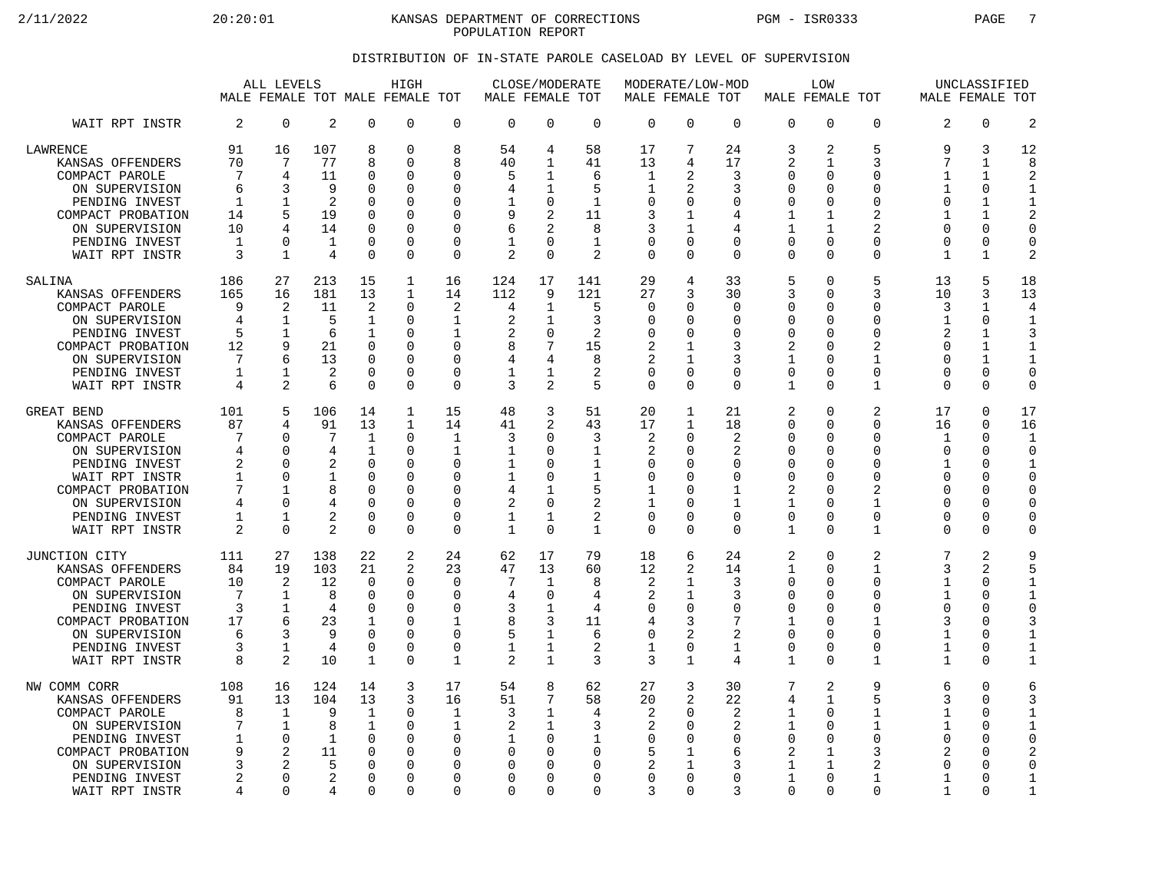2/11/2022 20:20:01 KANSAS DEPARTMENT OF CORRECTIONS PGM - ISR0333 PAGE 7 POPULATION REPORT

## DISTRIBUTION OF IN-STATE PAROLE CASELOAD BY LEVEL OF SUPERVISION

|                                                                                                                                                                                   | ALL LEVELS<br>MALE FEMALE TOT MALE FEMALE TOT                |                                                                                                    |                                                             |                                                                                                                   | HIGH                                                                      |                                                                                                                    | MALE FEMALE TOT                                                          | CLOSE/MODERATE                                                                                            |                                                                                              | MODERATE/LOW-MOD<br>MALE FEMALE TOT                        |                                                                                                                               |                                                                                               | MALE FEMALE TOT                                                                                 | <b>LOW</b>                                                                       |                                                                                                                                      | MALE FEMALE TOT                                                                 | UNCLASSIFIED                                                                                                            |                                                                                                                 |
|-----------------------------------------------------------------------------------------------------------------------------------------------------------------------------------|--------------------------------------------------------------|----------------------------------------------------------------------------------------------------|-------------------------------------------------------------|-------------------------------------------------------------------------------------------------------------------|---------------------------------------------------------------------------|--------------------------------------------------------------------------------------------------------------------|--------------------------------------------------------------------------|-----------------------------------------------------------------------------------------------------------|----------------------------------------------------------------------------------------------|------------------------------------------------------------|-------------------------------------------------------------------------------------------------------------------------------|-----------------------------------------------------------------------------------------------|-------------------------------------------------------------------------------------------------|----------------------------------------------------------------------------------|--------------------------------------------------------------------------------------------------------------------------------------|---------------------------------------------------------------------------------|-------------------------------------------------------------------------------------------------------------------------|-----------------------------------------------------------------------------------------------------------------|
| WAIT RPT INSTR                                                                                                                                                                    | 2                                                            | $\mathbf 0$                                                                                        | 2                                                           | $\mathbf 0$                                                                                                       | 0                                                                         | $\mathbf 0$                                                                                                        | $\Omega$                                                                 | $\Omega$                                                                                                  | $\mathbf 0$                                                                                  | 0                                                          | $\Omega$                                                                                                                      | $\overline{0}$                                                                                | $\mathbf 0$                                                                                     | 0                                                                                | $\Omega$                                                                                                                             | 2                                                                               | $\Omega$                                                                                                                | $\overline{2}$                                                                                                  |
| LAWRENCE<br>KANSAS OFFENDERS<br>COMPACT PAROLE<br>ON SUPERVISION<br>PENDING INVEST<br>COMPACT PROBATION<br>ON SUPERVISION<br>PENDING INVEST<br>WAIT RPT INSTR                     | 91<br>70<br>7<br>6<br>1<br>14<br>10<br>1<br>3                | 16<br>7<br>$\overline{4}$<br>3<br>1<br>$\overline{4}$<br>$\Omega$<br>$\mathbf{1}$                  | 107<br>77<br>11<br>9<br>2<br>19<br>14<br>$\mathbf{1}$<br>4  | 8<br>8<br>$\Omega$<br>$\cap$<br>$\mathbf 0$<br>$\Omega$<br>$\Omega$<br>$\mathbf 0$<br>$\Omega$                    | 0<br>0<br>0<br>O<br>O<br>0<br>O<br>0<br>0                                 | 8<br>8<br>$\Omega$<br>$\Omega$<br>0<br>$\Omega$<br>$\Omega$<br>$\mathbf 0$<br>$\Omega$                             | 54<br>40<br>5<br>4<br>1<br>9<br>6<br>1<br>$\overline{2}$                 | 4<br>1<br>1<br>1<br>$\mathbf 0$<br>$\overline{2}$<br>2<br>$\mathbf 0$<br>$\Omega$                         | 58<br>41<br>6<br>5<br>$\mathbf{1}$<br>11<br>8<br>$\mathbf{1}$<br>2                           | 17<br>13<br>$\mathbf 1$<br>1<br>0<br>3<br>3<br>0<br>0      | 7<br>4<br>2<br>2<br>0<br>1<br>0<br>$\Omega$                                                                                   | 24<br>17<br>3<br>3<br>0<br>4<br>4<br>$\mathbf 0$<br>$\Omega$                                  | 3<br>2<br>$\mathbf 0$<br>$\Omega$<br>$\mathbf 0$<br>$\mathbf 1$<br>1<br>$\mathbf 0$<br>$\Omega$ | 2<br>1<br>$\Omega$<br>U<br>0<br>1<br>$\mathbf{1}$<br>0<br>$\Omega$               | 5<br>3<br>$\mathbf 0$<br>$\Omega$<br>$\Omega$<br>2<br>2<br>$\Omega$<br>$\Omega$                                                      | 9<br>7<br>1<br>1<br>0<br>1<br>U<br>0<br>$\mathbf{1}$                            | 3<br>1<br>1<br>$\Omega$<br>1<br>1<br>$\Omega$<br>0<br>1                                                                 | 12<br>8<br>$\overline{2}$<br>1<br>$\mathbf{1}$<br>$\overline{2}$<br>$\Omega$<br>$\mathbf 0$<br>$\overline{2}$   |
| SALINA<br>KANSAS OFFENDERS<br>COMPACT PAROLE<br>ON SUPERVISION<br>PENDING INVEST<br>COMPACT PROBATION<br>ON SUPERVISION<br>PENDING INVEST<br>WAIT RPT INSTR                       | 186<br>165<br>9<br>4<br>5<br>12<br>7<br>1<br>4               | 27<br>16<br>2<br>1<br>$\mathbf 1$<br>9<br>6<br>$\mathbf{1}$<br>2                                   | 213<br>181<br>11<br>5<br>6<br>21<br>13<br>2<br>6            | 15<br>13<br>$\overline{2}$<br>$\mathbf 1$<br>$\mathbf 1$<br>$\Omega$<br>$\Omega$<br>$\Omega$<br>$\Omega$          | 1<br>$\mathbf{1}$<br>$\Omega$<br>U<br>0<br>O<br>0<br>$\Omega$<br>$\Omega$ | 16<br>14<br>2<br>1<br>$\mathbf 1$<br>$\Omega$<br>$\Omega$<br>$\Omega$<br>$\mathbf 0$                               | 124<br>112<br>4<br>2<br>8<br>4<br>1<br>3                                 | 17<br>9<br>1<br>1<br>$\mathbf 0$<br>7<br>4<br>1<br>2                                                      | 141<br>121<br>5<br>3<br>2<br>15<br>8<br>2<br>5                                               | 29<br>27<br>0<br>0<br>0<br>2<br>2<br>0<br>0                | 4<br>3<br><sup>0</sup><br>$\Omega$<br><sup>0</sup><br>1<br>1<br>$\Omega$<br>$\Omega$                                          | 33<br>30<br>0<br>0<br>$\mathbf 0$<br>3<br>3<br>$\Omega$<br>$\Omega$                           | 5<br>3<br>$\mathbf 0$<br>$\mathbf 0$<br>$\mathbf 0$<br>2<br>1<br>$\mathbf 0$<br>$\mathbf{1}$    | $\Omega$<br>0<br>$\Omega$<br>$\Omega$<br>0<br>U<br>0<br>$\Omega$<br>$\Omega$     | 5<br>3<br>$\mathbf 0$<br>$\Omega$<br>$\mathbf 0$<br>$\overline{a}$<br>$\mathbf{1}$<br>$\mathbf 0$<br>$\mathbf{1}$                    | 13<br>10<br>3<br>1<br>2<br>U<br>0<br>$\Omega$<br>0                              | 5<br>3<br>1<br>$\mathbf 0$<br>$\mathbf{1}$<br>1<br>$\mathbf{1}$<br>$\Omega$<br>$\Omega$                                 | 18<br>13<br>4<br>$\mathbf{1}$<br>3<br>$\mathbf{1}$<br>$\mathbf{1}$<br>$\mathbf 0$<br>$\Omega$                   |
| GREAT BEND<br>KANSAS OFFENDERS<br>COMPACT PAROLE<br>ON SUPERVISION<br>PENDING INVEST<br>WAIT RPT INSTR<br>COMPACT PROBATION<br>ON SUPERVISION<br>PENDING INVEST<br>WAIT RPT INSTR | 101<br>87<br>7<br>4<br>2<br>$\mathbf{1}$<br>7<br>4<br>1<br>2 | 5<br>4<br>$\Omega$<br>$\Omega$<br>$\Omega$<br>$\Omega$<br>$\mathbf{1}$<br>$\Omega$<br>-1<br>$\cap$ | 106<br>91<br>7<br>4<br>2<br>$\mathbf 1$<br>8<br>4<br>2<br>2 | 14<br>13<br>$\mathbf 1$<br>$\mathbf 1$<br>$\Omega$<br>$\Omega$<br>$\Omega$<br>$\mathbf 0$<br>$\Omega$<br>$\Omega$ | $\mathbf{1}$<br>1<br>0<br>$\Omega$<br>O<br>0<br>O<br>0<br>0<br>U          | 15<br>14<br>$\mathbf 1$<br>$\mathbf{1}$<br>$\Omega$<br>$\Omega$<br>$\Omega$<br>$\mathbf 0$<br>$\Omega$<br>$\Omega$ | 48<br>41<br>3<br>1<br>1<br>$\mathbf{1}$<br>4<br>$\overline{2}$<br>1<br>1 | 3<br>$\overline{2}$<br>$\mathbf 0$<br>$\Omega$<br>$\Omega$<br>$\Omega$<br>1<br>$\mathbf 0$<br>1<br>$\cap$ | 51<br>43<br>3<br>$\mathbf{1}$<br>$\mathbf{1}$<br>$\mathbf{1}$<br>5<br>2<br>2<br>$\mathbf{1}$ | 20<br>17<br>2<br>2<br>0<br>0<br>1<br>$\mathbf 1$<br>0<br>0 | $\mathbf{1}$<br>1<br>$\Omega$<br><sup>0</sup><br>$\Omega$<br>$\Omega$<br><sup>0</sup><br>$\Omega$<br><sup>0</sup><br>$\Omega$ | 21<br>18<br>2<br>2<br>$\Omega$<br>$\mathbf 0$<br>1<br>$\mathbf{1}$<br>$\mathbf 0$<br>$\Omega$ | 2<br>0<br>$\mathbf 0$<br>$\mathbf 0$<br>0<br>$\mathbf 0$<br>2<br>1<br>0<br>1                    | 0<br>$\Omega$<br>0<br>0<br>$\Omega$<br>0<br>U<br>0<br>$\Omega$<br>$\Omega$       | $\overline{2}$<br>0<br>$\Omega$<br>$\Omega$<br>$\Omega$<br>$\Omega$<br>$\overline{2}$<br>$\mathbf{1}$<br>$\mathbf 0$<br>$\mathbf{1}$ | 17<br>16<br>$\mathbf 1$<br>$\Omega$<br>1<br>$\Omega$<br>$\Omega$<br>0<br>U<br>U | $\mathbf 0$<br>$\Omega$<br>$\Omega$<br>$\Omega$<br>$\Omega$<br>$\Omega$<br>$\Omega$<br>$\Omega$<br>$\Omega$<br>$\Omega$ | 17<br>16<br>$\mathbf{1}$<br>$\mathbf{C}$<br>$\mathbf 1$<br>$\Omega$<br>$\Omega$<br>$\mathbf 0$<br>0<br>$\Omega$ |
| JUNCTION CITY<br>KANSAS OFFENDERS<br>COMPACT PAROLE<br>ON SUPERVISION<br>PENDING INVEST<br>COMPACT PROBATION<br>ON SUPERVISION<br>PENDING INVEST<br>WAIT RPT INSTR                | 111<br>84<br>10<br>7<br>3<br>17<br>6<br>3<br>8               | 27<br>19<br>2<br>1<br>$\mathbf{1}$<br>6<br>3<br>$\mathbf 1$<br>$\overline{2}$                      | 138<br>103<br>12<br>8<br>4<br>23<br>9<br>4<br>10            | 22<br>21<br>$\Omega$<br>$\Omega$<br>$\Omega$<br>1<br>$\Omega$<br>$\mathbf 0$<br>$\mathbf{1}$                      | 2<br>2<br>0<br>$\Omega$<br>O<br>0<br>0<br>0<br>$\Omega$                   | 24<br>23<br>$\Omega$<br>$\Omega$<br>$\Omega$<br>1<br>$\Omega$<br>$\mathbf 0$<br>$\mathbf{1}$                       | 62<br>47<br>3<br>8<br>5<br>1<br>2                                        | 17<br>13<br>1<br>$\Omega$<br>1<br>3<br>1<br>1<br>$\mathbf{1}$                                             | 79<br>60<br>8<br>4<br>4<br>11<br>6<br>2<br>3                                                 | 18<br>12<br>2<br>2<br>0<br>4<br>0<br>1<br>3                | 6<br>$\overline{2}$<br>1<br>1<br>$\Omega$<br>3<br>0<br>$\mathbf{1}$                                                           | 24<br>14<br>3<br>3<br>$\Omega$<br>7<br>2<br>1<br>$\overline{4}$                               | 2<br>1<br>$\mathbf 0$<br>$\mathbf 0$<br>$\mathbf 0$<br>1<br>$\mathbf 0$<br>0<br>$\mathbf{1}$    | 0<br>$\Omega$<br>$\Omega$<br>0<br>U<br>0<br>U<br>0<br>$\Omega$                   | 2<br>1<br>$\Omega$<br>$\Omega$<br>$\Omega$<br>1<br>0<br>$\mathbf 0$<br>$\mathbf{1}$                                                  | 7<br>3<br>$\mathbf{1}$<br>1<br>$\Omega$<br>3<br>1<br>1<br>1                     | 2<br>2<br>$\Omega$<br>$\Omega$<br>$\Omega$<br>$\Omega$<br>$\Omega$<br>0<br>$\Omega$                                     | 9<br>5<br>$\mathbf{1}$<br>$\mathbf{1}$<br>$\Omega$<br>3<br>$\mathbf{1}$<br>$\mathbf 1$<br>$\mathbf{1}$          |
| NW COMM CORR<br>KANSAS OFFENDERS<br>COMPACT PAROLE<br>ON SUPERVISION<br>PENDING INVEST<br>COMPACT PROBATION<br>ON SUPERVISION<br>PENDING INVEST<br>WAIT RPT INSTR                 | 108<br>91<br>8<br>7<br>1<br>9<br>3<br>2<br>4                 | 16<br>13<br>$\mathbf 1$<br>1<br>$\Omega$<br>$\mathfrak{D}$<br>2<br>$\Omega$<br>$\Omega$            | 124<br>104<br>9<br>8<br>$\mathbf{1}$<br>11<br>5<br>2<br>4   | 14<br>13<br>$\mathbf 1$<br>1<br>$\Omega$<br>$\Omega$<br>$\mathbf 0$<br>$\Omega$<br>$\Omega$                       | 3<br>3<br>0<br>0<br>0<br>O<br>O<br>O<br>U                                 | 17<br>16<br>1<br>1<br>$\Omega$<br><sup>0</sup><br>0<br>$\Omega$<br>$\Omega$                                        | 54<br>51<br>3<br>2<br>O<br>$\Omega$<br>O<br>$\Omega$                     | 8<br>7<br>1<br>1<br>$\Omega$<br>$\Omega$<br>$\Omega$<br>$\Omega$<br>$\Omega$                              | 62<br>58<br>4<br>3<br>$\mathbf{1}$<br>$\Omega$<br>0<br>0<br>$\Omega$                         | 27<br>20<br>2<br>2<br>0<br>5<br>2<br>0<br>3                | 3<br>2<br>$\Omega$<br><sup>0</sup><br>$\Omega$<br>1<br>1<br>$\Omega$<br>0                                                     | 30<br>22<br>2<br>2<br>$\mathbf 0$<br>6<br>3<br>$\Omega$<br>3                                  | 7<br>4<br>1<br>1<br>$\mathbf 0$<br>2<br>1<br>1<br>$\Omega$                                      | 2<br>1<br>$\Omega$<br>$\Omega$<br>0<br>$\mathbf{1}$<br>1<br>$\Omega$<br>$\Omega$ | 9<br>5<br>$\mathbf{1}$<br>1<br>$\mathbf 0$<br>ζ<br>2<br>1<br>$\Omega$                                                                | 6<br>3<br>$\mathbf{1}$<br>1<br>0<br>2<br>0<br>1<br>$\mathbf{1}$                 | $\Omega$<br>$\Omega$<br>0<br>$\Omega$<br>$\Omega$<br><sup>0</sup><br>$\Omega$<br>$\Omega$<br>∩                          | 6<br>3<br>$\mathbf{1}$<br>$\mathbf{1}$<br>$\Omega$<br>2<br>0<br>$\mathbf{1}$<br>$\mathbf{1}$                    |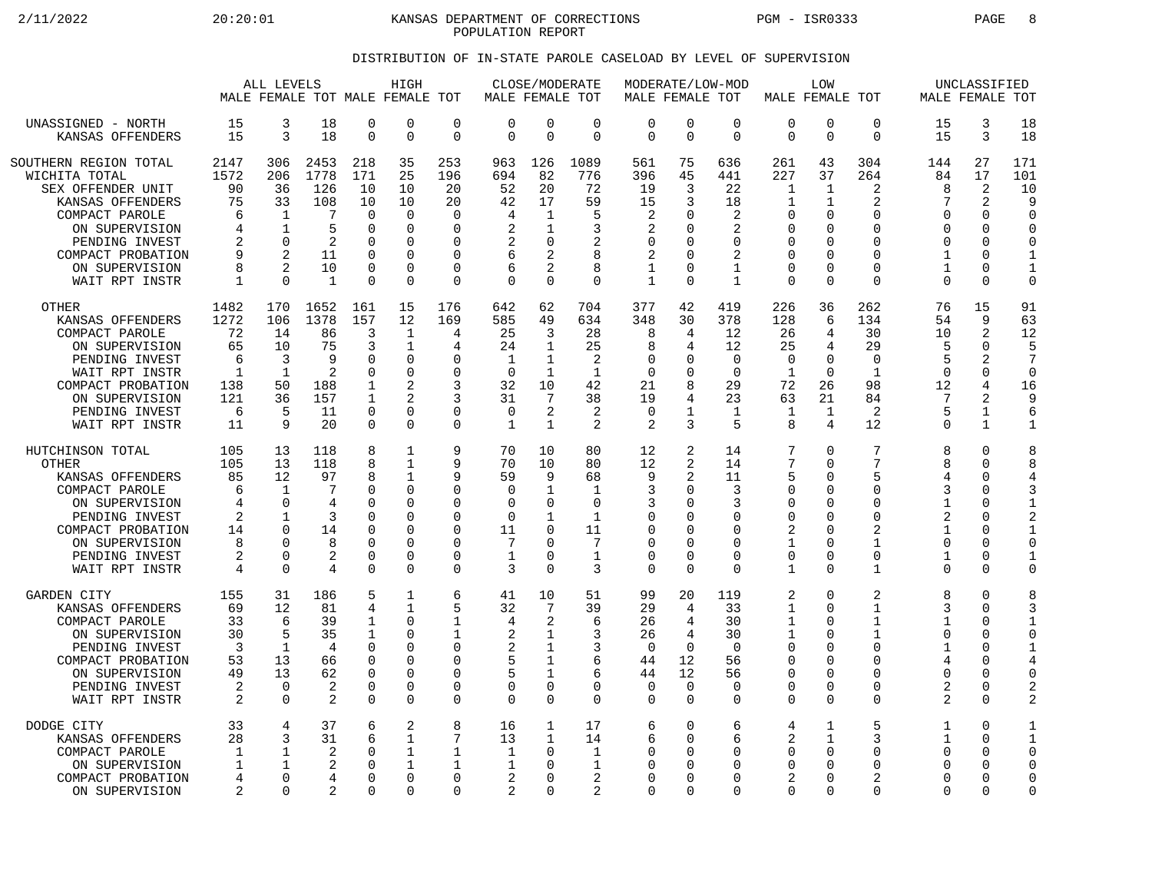2/11/2022 20:20:01 KANSAS DEPARTMENT OF CORRECTIONS PGM - ISR0333 PAGE 8 POPULATION REPORT

## DISTRIBUTION OF IN-STATE PAROLE CASELOAD BY LEVEL OF SUPERVISION

|                                                                                                                                                                                                | ALL LEVELS                                                  |                                                                                                    | HIGH<br>MALE FEMALE TOT MALE FEMALE TOT                               |                                                                             | MALE FEMALE TOT                                                                                                    | CLOSE/MODERATE                                              |                                                                                    | MALE FEMALE TOT                                                         |                                                                      | MODERATE/LOW-MOD                                                             |                                                                                            | LOW<br>MALE FEMALE TOT                                                          |                                                                                                     | MALE FEMALE TOT                                                                                       | UNCLASSIFIED                                                   |                                                                                                     |                                                                                        |                                                                                                  |
|------------------------------------------------------------------------------------------------------------------------------------------------------------------------------------------------|-------------------------------------------------------------|----------------------------------------------------------------------------------------------------|-----------------------------------------------------------------------|-----------------------------------------------------------------------------|--------------------------------------------------------------------------------------------------------------------|-------------------------------------------------------------|------------------------------------------------------------------------------------|-------------------------------------------------------------------------|----------------------------------------------------------------------|------------------------------------------------------------------------------|--------------------------------------------------------------------------------------------|---------------------------------------------------------------------------------|-----------------------------------------------------------------------------------------------------|-------------------------------------------------------------------------------------------------------|----------------------------------------------------------------|-----------------------------------------------------------------------------------------------------|----------------------------------------------------------------------------------------|--------------------------------------------------------------------------------------------------|
| UNASSIGNED - NORTH                                                                                                                                                                             | 15                                                          | 3                                                                                                  | 18                                                                    | 0                                                                           | $\mathbf 0$                                                                                                        | $\mathbf 0$                                                 | 0                                                                                  | $\mathbf 0$                                                             | 0                                                                    | $\mathbf 0$                                                                  | 0                                                                                          | $\mathbf 0$                                                                     | $\mathbf 0$                                                                                         | $\Omega$                                                                                              | 0                                                              | 15                                                                                                  | 3                                                                                      | 18                                                                                               |
| KANSAS OFFENDERS                                                                                                                                                                               | 15                                                          | $\mathbf{3}$                                                                                       | 18                                                                    | $\Omega$                                                                    | $\Omega$                                                                                                           | 0                                                           | $\Omega$                                                                           | $\Omega$                                                                | $\Omega$                                                             | $\Omega$                                                                     | $\mathbf 0$                                                                                | $\Omega$                                                                        | $\Omega$                                                                                            | $\Omega$                                                                                              | 0                                                              | 15                                                                                                  | $\overline{3}$                                                                         | 18                                                                                               |
| SOUTHERN REGION TOTAL<br>WICHITA TOTAL<br>SEX OFFENDER UNIT<br>KANSAS OFFENDERS<br>COMPACT PAROLE<br>ON SUPERVISION<br>PENDING INVEST<br>COMPACT PROBATION<br>ON SUPERVISION<br>WAIT RPT INSTR | 2147<br>1572<br>90<br>75<br>6<br>4<br>2<br>9<br>8<br>1      | 306<br>206<br>36<br>33<br>$\mathbf 1$<br>$\mathbf{1}$<br>$\mathbf 0$<br>$\overline{2}$<br>$\Omega$ | 2453<br>1778<br>126<br>108<br>7<br>5<br>2<br>11<br>10<br>$\mathbf{1}$ | 218<br>171<br>10<br>10<br>$\Omega$<br>$\Omega$<br>0<br>O<br>0<br>$\Omega$   | 35<br>25<br>10<br>10<br>$\Omega$<br>$\Omega$<br>$\Omega$<br>$\Omega$<br>$\Omega$<br>$\Omega$                       | 253<br>196<br>20<br>20<br>0<br>$\Omega$<br>0<br>0<br>0<br>0 | 963<br>694<br>52<br>42<br>4<br>2<br>2<br>6<br>6<br>$\Omega$                        | 126<br>82<br>20<br>17<br>1<br>1<br>0<br>2<br>$\Omega$                   | 1089<br>776<br>72<br>59<br>5<br>3<br>2<br>8<br>8<br>$\Omega$         | 561<br>396<br>19<br>15<br>2<br>2<br>$\mathbf 0$<br>2<br>1<br>$\mathbf{1}$    | 75<br>45<br>3<br>3<br>$\Omega$<br>$\Omega$<br>$\Omega$<br>$\Omega$<br>$\Omega$<br>$\Omega$ | 636<br>441<br>22<br>18<br>2<br>2<br>$\Omega$<br>2<br>1<br>$\mathbf{1}$          | 261<br>227<br>$\mathbf{1}$<br>1<br>$\Omega$<br>$\Omega$<br>0<br>$\Omega$<br>$\mathbf 0$<br>$\Omega$ | 43<br>37<br>$\mathbf{1}$<br>1<br>$\Omega$<br>$\Omega$<br>$\Omega$<br>$\Omega$<br>$\Omega$<br>$\Omega$ | 304<br>264<br>2<br>2<br>0<br>0<br>0<br>0<br>0<br>$\Omega$      | 144<br>84<br>8<br>7<br>$\Omega$<br>$\Omega$<br>$\Omega$<br>$\mathbf{1}$<br>$\mathbf{1}$<br>$\Omega$ | 27<br>17<br>2<br>2<br>$\Omega$<br>$\Omega$<br>0<br>$\Omega$<br>$\mathbf 0$<br>$\Omega$ | 171<br>101<br>10<br>9<br>$\Omega$<br>$\Omega$<br>$\mathbf 0$<br>1<br>$\mathbf{1}$<br>$\mathbf 0$ |
| <b>OTHER</b><br>KANSAS OFFENDERS<br>COMPACT PAROLE<br>ON SUPERVISION<br>PENDING INVEST<br>WAIT RPT INSTR<br>COMPACT PROBATION<br>ON SUPERVISION<br>PENDING INVEST<br>WAIT RPT INSTR            | 1482<br>1272<br>72<br>65<br>6<br>1<br>138<br>121<br>6<br>11 | 170<br>106<br>14<br>10<br>3<br>1<br>50<br>36<br>5<br>9                                             | 1652<br>1378<br>86<br>75<br>9<br>2<br>188<br>157<br>11<br>20          | 161<br>157<br>3<br>3<br>O<br>$\Omega$<br>1<br>$\mathbf{1}$<br>0<br>$\Omega$ | 15<br>12<br>$\mathbf{1}$<br>$\mathbf{1}$<br>$\Omega$<br>$\Omega$<br>$\overline{2}$<br>2<br>$\mathbf 0$<br>$\Omega$ | 176<br>169<br>4<br>4<br>$\Omega$<br>0<br>3<br>3<br>0<br>0   | 642<br>585<br>25<br>24<br>$\mathbf{1}$<br>$\Omega$<br>32<br>31<br>$\mathbf 0$<br>1 | 62<br>49<br>3<br>1<br>$\mathbf{1}$<br>1<br>10<br>7<br>2<br>$\mathbf{1}$ | 704<br>634<br>28<br>25<br>$\overline{2}$<br>-1<br>42<br>38<br>2<br>2 | 377<br>348<br>8<br>8<br>$\Omega$<br>$\Omega$<br>21<br>19<br>$\mathbf 0$<br>2 | 42<br>30<br>4<br>4<br>0<br>$\Omega$<br>8<br>4<br>1<br>3                                    | 419<br>378<br>12<br>12<br>$\Omega$<br>$\Omega$<br>29<br>23<br>$\mathbf{1}$<br>5 | 226<br>128<br>26<br>25<br>$\Omega$<br>-1<br>72<br>63<br>1<br>8                                      | 36<br>6<br>4<br>4<br>$\Omega$<br>$\cap$<br>26<br>21<br>$\mathbf 1$<br>4                               | 262<br>134<br>30<br>29<br>$\Omega$<br>1<br>98<br>84<br>2<br>12 | 76<br>54<br>10<br>5<br>5<br>$\Omega$<br>12<br>5<br>$\Omega$                                         | 15<br>9<br>2<br>0<br>2<br>0<br>4<br>2<br>$\mathbf 1$<br>$\mathbf{1}$                   | 91<br>63<br>12<br>5<br>7<br>$\Omega$<br>16<br>9<br>6<br>1                                        |
| HUTCHINSON TOTAL                                                                                                                                                                               | 105                                                         | 13                                                                                                 | 118                                                                   | 8                                                                           | 1                                                                                                                  | 9                                                           | 70                                                                                 | 10                                                                      | 80                                                                   | 12                                                                           | 2                                                                                          | 14                                                                              | 7                                                                                                   | $\Omega$                                                                                              | 7                                                              | 8                                                                                                   | 0                                                                                      | 8                                                                                                |
| <b>OTHER</b>                                                                                                                                                                                   | 105                                                         | 13                                                                                                 | 118                                                                   | 8                                                                           | $\mathbf{1}$                                                                                                       | 9                                                           | 70                                                                                 | 10                                                                      | 80                                                                   | 12                                                                           | 2                                                                                          | 14                                                                              | 7                                                                                                   | $\Omega$                                                                                              | 7                                                              | 8                                                                                                   | $\mathbf 0$                                                                            | 8                                                                                                |
| KANSAS OFFENDERS                                                                                                                                                                               | 85                                                          | 12                                                                                                 | 97                                                                    | 8                                                                           | $\mathbf{1}$                                                                                                       | 9                                                           | 59                                                                                 | 9                                                                       | 68                                                                   | 9                                                                            | 2                                                                                          | 11                                                                              | 5                                                                                                   | $\Omega$                                                                                              | 5                                                              | $\overline{4}$                                                                                      | $\Omega$                                                                               | 4                                                                                                |
| COMPACT PAROLE                                                                                                                                                                                 | 6                                                           | $\mathbf 1$                                                                                        | 7                                                                     | 0                                                                           | $\Omega$                                                                                                           | 0                                                           | 0                                                                                  | 1                                                                       | $\mathbf{1}$                                                         | 3                                                                            | 0                                                                                          | 3                                                                               | $\mathbf 0$                                                                                         | 0                                                                                                     | 0                                                              | 3                                                                                                   | $\mathbf 0$                                                                            | 3                                                                                                |
| ON SUPERVISION                                                                                                                                                                                 | 4                                                           | $\Omega$                                                                                           | 4                                                                     | O                                                                           | $\Omega$                                                                                                           | 0                                                           | 0                                                                                  | $\Omega$                                                                | 0                                                                    | 3                                                                            | $\Omega$                                                                                   | 3                                                                               | 0                                                                                                   | $\Omega$                                                                                              | O                                                              | $\mathbf{1}$                                                                                        | 0                                                                                      | 1                                                                                                |
| PENDING INVEST                                                                                                                                                                                 | 2                                                           | 1                                                                                                  | 3                                                                     | O                                                                           | $\Omega$                                                                                                           | 0                                                           | $\mathbf 0$                                                                        | 1                                                                       | $\mathbf{1}$                                                         | $\Omega$                                                                     | $\Omega$                                                                                   | ∩                                                                               | 0                                                                                                   | $\Omega$                                                                                              | $\Omega$                                                       | $\overline{2}$                                                                                      | 0                                                                                      | 2                                                                                                |
| COMPACT PROBATION                                                                                                                                                                              | 14                                                          | $\Omega$                                                                                           | 14                                                                    | $\Omega$                                                                    | $\Omega$                                                                                                           | 0                                                           | 11                                                                                 | $\Omega$                                                                | 11                                                                   | $\mathbf 0$                                                                  | <sup>0</sup>                                                                               | O                                                                               | 2                                                                                                   | $\Omega$                                                                                              | $\overline{a}$                                                 | $\mathbf{1}$                                                                                        | $\mathbf 0$                                                                            | $\mathbf{1}$                                                                                     |
| ON SUPERVISION                                                                                                                                                                                 | 8                                                           | <sup>n</sup>                                                                                       | 8                                                                     | O                                                                           | $\Omega$                                                                                                           | 0                                                           | 7                                                                                  | U                                                                       | 7                                                                    | $\Omega$                                                                     | O                                                                                          | ∩                                                                               | 1                                                                                                   | $\Omega$                                                                                              | 1                                                              | $\Omega$                                                                                            | $\Omega$                                                                               | $\Omega$                                                                                         |
| PENDING INVEST                                                                                                                                                                                 | 2                                                           | $\Omega$                                                                                           | 2                                                                     | 0                                                                           | $\Omega$                                                                                                           | 0                                                           | $\mathbf{1}$                                                                       | 0                                                                       | $\mathbf{1}$                                                         | $\Omega$                                                                     | 0                                                                                          | $\Omega$                                                                        | $\mathbf 0$                                                                                         | $\mathbf 0$                                                                                           | $\Omega$                                                       | $\mathbf{1}$                                                                                        | $\Omega$                                                                               | 1                                                                                                |
| WAIT RPT INSTR                                                                                                                                                                                 | $\overline{4}$                                              | $\Omega$                                                                                           | 4                                                                     | $\Omega$                                                                    | $\Omega$                                                                                                           | 0                                                           | ζ                                                                                  | $\Omega$                                                                | 3                                                                    | $\Omega$                                                                     | $\Omega$                                                                                   | $\Omega$                                                                        | $\mathbf{1}$                                                                                        | $\Omega$                                                                                              | $\mathbf{1}$                                                   | $\Omega$                                                                                            | $\Omega$                                                                               | $\Omega$                                                                                         |
| <b>GARDEN CITY</b>                                                                                                                                                                             | 155                                                         | 31                                                                                                 | 186                                                                   | 5                                                                           | 1                                                                                                                  | 6                                                           | 41                                                                                 | 10                                                                      | 51                                                                   | 99                                                                           | 20                                                                                         | 119                                                                             | 2                                                                                                   | $\Omega$                                                                                              | 2                                                              | 8                                                                                                   | $\Omega$                                                                               | 8                                                                                                |
| KANSAS OFFENDERS                                                                                                                                                                               | 69                                                          | 12                                                                                                 | 81                                                                    | 4                                                                           | $\mathbf{1}$                                                                                                       | 5                                                           | 32                                                                                 | 7                                                                       | 39                                                                   | 29                                                                           | 4                                                                                          | 33                                                                              | 1                                                                                                   | $\Omega$                                                                                              | 1                                                              | 3                                                                                                   | $\Omega$                                                                               | 3                                                                                                |
| COMPACT PAROLE                                                                                                                                                                                 | 33                                                          | 6                                                                                                  | 39                                                                    | 1                                                                           | $\Omega$                                                                                                           | $\mathbf 1$                                                 | 4                                                                                  | 2                                                                       | 6                                                                    | 26                                                                           | 4                                                                                          | 30                                                                              | $\mathbf{1}$                                                                                        | $\Omega$                                                                                              | 1                                                              | $\mathbf{1}$                                                                                        | 0                                                                                      | $\mathbf{1}$                                                                                     |
| ON SUPERVISION                                                                                                                                                                                 | 30                                                          | 5                                                                                                  | 35                                                                    | $\mathbf 1$                                                                 | $\Omega$                                                                                                           | 1                                                           | 2                                                                                  | 1                                                                       | 3                                                                    | 26                                                                           | 4                                                                                          | 30                                                                              | $\mathbf{1}$                                                                                        | $\mathbf 0$                                                                                           | $\mathbf{1}$                                                   | $\Omega$                                                                                            | $\mathbf 0$                                                                            | $\mathbf 0$                                                                                      |
| PENDING INVEST                                                                                                                                                                                 | 3                                                           | 1                                                                                                  | 4                                                                     | $\Omega$                                                                    | $\Omega$                                                                                                           | 0                                                           | 2                                                                                  | 1                                                                       | 3                                                                    | $\Omega$                                                                     | $\Omega$                                                                                   | $\Omega$                                                                        | 0                                                                                                   | $\cap$                                                                                                | O                                                              | $\mathbf{1}$                                                                                        | 0                                                                                      | 1                                                                                                |
| COMPACT PROBATION                                                                                                                                                                              | 53                                                          | 13                                                                                                 | 66                                                                    | 0                                                                           | $\Omega$                                                                                                           | 0                                                           | 5                                                                                  | 1                                                                       | 6                                                                    | 44                                                                           | 12                                                                                         | 56                                                                              | 0                                                                                                   | 0                                                                                                     | 0                                                              | 4                                                                                                   | $\Omega$                                                                               | 4                                                                                                |
| ON SUPERVISION                                                                                                                                                                                 | 49                                                          | 13                                                                                                 | 62                                                                    | O                                                                           | $\Omega$                                                                                                           | 0                                                           | 5                                                                                  | 1                                                                       | 6                                                                    | 44                                                                           | 12                                                                                         | 56                                                                              | $\Omega$                                                                                            | $\Omega$                                                                                              | 0                                                              | $\Omega$                                                                                            | $\Omega$                                                                               | $\mathbf 0$                                                                                      |
| PENDING INVEST                                                                                                                                                                                 | 2                                                           | $\Omega$                                                                                           | 2                                                                     | $\Omega$                                                                    | $\Omega$                                                                                                           | 0                                                           | 0                                                                                  | $\Omega$                                                                | 0                                                                    | $\Omega$                                                                     | $\Omega$                                                                                   | $\Omega$                                                                        | 0                                                                                                   | $\Omega$                                                                                              | $\Omega$                                                       | 2                                                                                                   | $\Omega$                                                                               | $\overline{c}$                                                                                   |
| WAIT RPT INSTR                                                                                                                                                                                 | $\overline{2}$                                              | $\Omega$                                                                                           | $\overline{2}$                                                        | $\Omega$                                                                    | $\Omega$                                                                                                           | 0                                                           | 0                                                                                  | $\Omega$                                                                | $\Omega$                                                             | $\mathbf 0$                                                                  | $\Omega$                                                                                   | $\Omega$                                                                        | $\Omega$                                                                                            | $\Omega$                                                                                              | $\Omega$                                                       | 2                                                                                                   | $\Omega$                                                                               | $\overline{a}$                                                                                   |
| DODGE CITY                                                                                                                                                                                     | 33                                                          | $\overline{4}$                                                                                     | 37                                                                    | 6                                                                           | 2                                                                                                                  | 8                                                           | 16                                                                                 | 1                                                                       | 17                                                                   | 6                                                                            | $\Omega$                                                                                   | 6                                                                               | 4                                                                                                   | 1                                                                                                     | 5                                                              | 1                                                                                                   | $\mathbf 0$                                                                            | 1                                                                                                |
| KANSAS OFFENDERS                                                                                                                                                                               | 28                                                          | 3                                                                                                  | 31                                                                    | 6                                                                           | 1                                                                                                                  | 7                                                           | 13                                                                                 | $\mathbf{1}$                                                            | 14                                                                   | 6                                                                            | $\Omega$                                                                                   | 6                                                                               | 2                                                                                                   | 1                                                                                                     | ζ                                                              | $\mathbf{1}$                                                                                        | $\Omega$                                                                               | $\mathbf{1}$                                                                                     |
| COMPACT PAROLE                                                                                                                                                                                 | 1                                                           | $\mathbf 1$                                                                                        | 2                                                                     | 0                                                                           | 1                                                                                                                  | $\mathbf 1$                                                 | $\mathbf{1}$                                                                       | $\Omega$                                                                | $\mathbf{1}$                                                         | $\mathbf 0$                                                                  | $\Omega$                                                                                   | $\Omega$                                                                        | $\mathbf 0$                                                                                         | $\Omega$                                                                                              | 0                                                              | $\Omega$                                                                                            | 0                                                                                      | $\mathbf 0$                                                                                      |
| ON SUPERVISION                                                                                                                                                                                 | 1                                                           | 1                                                                                                  | 2                                                                     | $\Omega$                                                                    | $\mathbf{1}$                                                                                                       | 1                                                           | 1                                                                                  | O                                                                       | 1                                                                    | $\Omega$                                                                     | 0                                                                                          | O                                                                               | $\Omega$                                                                                            | $\Omega$                                                                                              | $\Omega$                                                       | $\Omega$                                                                                            | $\Omega$                                                                               | $\Omega$                                                                                         |
| COMPACT PROBATION                                                                                                                                                                              | 4                                                           | $\Omega$                                                                                           | 4                                                                     | O                                                                           | $\Omega$                                                                                                           | 0                                                           | 2                                                                                  | O                                                                       | 2                                                                    | $\Omega$                                                                     | 0                                                                                          | $\Omega$                                                                        | 2                                                                                                   | $\Omega$                                                                                              | 2                                                              | $\Omega$                                                                                            | 0                                                                                      | $\Omega$                                                                                         |
| ON SUPERVISION                                                                                                                                                                                 | 2                                                           | $\Omega$                                                                                           | 2                                                                     | O                                                                           | $\Omega$                                                                                                           | 0                                                           | 2                                                                                  | O                                                                       | 2                                                                    | $\Omega$                                                                     | O                                                                                          | $\Omega$                                                                        | $\Omega$                                                                                            | $\Omega$                                                                                              | $\Omega$                                                       | $\Omega$                                                                                            | $\Omega$                                                                               | 0                                                                                                |